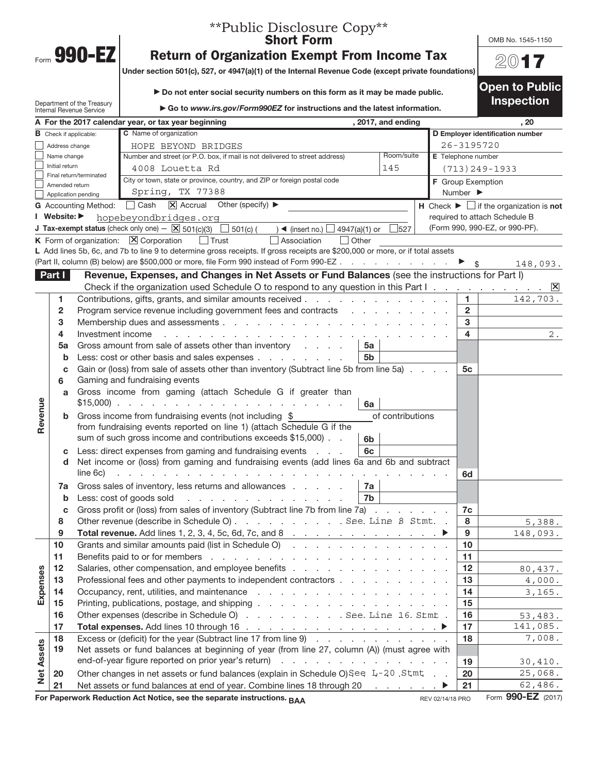

### **Short Form**  \*\*Public Disclosure Copy\*\*

OMB No. 1545-1150

20**17**

**Open to Public** 

# **Return of Organization Exempt From Income Tax**

**Under section 501(c), 527, or 4947(a)(1) of the Internal Revenue Code (except private foundations)**

▶ Do not enter social security numbers on this form as it may be made public.

| Department of the Treasury<br>Internal Revenue Service |                |                                                         | Go to www.irs.gov/Form990EZ for instructions and the latest information.                                                                            |                    |                              | <b>Inspection</b>                                                    |  |
|--------------------------------------------------------|----------------|---------------------------------------------------------|-----------------------------------------------------------------------------------------------------------------------------------------------------|--------------------|------------------------------|----------------------------------------------------------------------|--|
| A For the 2017 calendar year, or tax year beginning    |                |                                                         | , 2017, and ending                                                                                                                                  |                    |                              | , 20                                                                 |  |
|                                                        |                | C Name of organization<br><b>B</b> Check if applicable: |                                                                                                                                                     |                    |                              | D Employer identification number                                     |  |
|                                                        | Address change |                                                         | HOPE BEYOND BRIDGES                                                                                                                                 |                    | 26-3195720                   |                                                                      |  |
| Name change<br>Initial return                          |                |                                                         | Room/suite<br>Number and street (or P.O. box, if mail is not delivered to street address)                                                           | E Telephone number |                              |                                                                      |  |
|                                                        |                |                                                         | 145<br>4008 Louetta Rd                                                                                                                              |                    | $(713)$ 249-1933             |                                                                      |  |
|                                                        |                | Final return/terminated                                 | City or town, state or province, country, and ZIP or foreign postal code                                                                            | F Group Exemption  |                              |                                                                      |  |
|                                                        | Amended return | Application pending                                     | Spring, TX 77388                                                                                                                                    |                    | Number $\blacktriangleright$ |                                                                      |  |
|                                                        |                | G Accounting Method: Cash                               | $\overline{\mathsf{X}}$ Accrual<br>Other (specify) $\blacktriangleright$                                                                            |                    |                              | H Check $\blacktriangleright \Box$ if the organization is <b>not</b> |  |
|                                                        | I Website: ▶   |                                                         | hopebeyondbridges.org                                                                                                                               |                    |                              | required to attach Schedule B                                        |  |
|                                                        |                |                                                         | <b>J Tax-exempt status</b> (check only one) $ \boxed{\mathbf{X}}$ 501(c)(3)<br>$501(c)$ (<br>$\rightarrow$ (insert no.) $\Box$ 4947(a)(1) or<br>527 |                    |                              | (Form 990, 990-EZ, or 990-PF).                                       |  |
|                                                        |                |                                                         | K Form of organization: $X$ Corporation<br>$\vert$ Trust<br>Other<br>  Association<br>$\Box$                                                        |                    |                              |                                                                      |  |
|                                                        |                |                                                         | L Add lines 5b, 6c, and 7b to line 9 to determine gross receipts. If gross receipts are \$200,000 or more, or if total assets                       |                    |                              |                                                                      |  |
|                                                        |                |                                                         | (Part II, column (B) below) are \$500,000 or more, file Form 990 instead of Form 990-EZ                                                             |                    | \$                           | 148,093.                                                             |  |
|                                                        | Part I         |                                                         | Revenue, Expenses, and Changes in Net Assets or Fund Balances (see the instructions for Part I)                                                     |                    |                              |                                                                      |  |
|                                                        |                |                                                         | Check if the organization used Schedule O to respond to any question in this Part $1 \ldots \ldots \ldots$                                          |                    |                              |                                                                      |  |
|                                                        | 1              |                                                         |                                                                                                                                                     |                    | $\mathbf{1}$                 | 142,703.                                                             |  |
|                                                        | $\mathbf{2}$   |                                                         | Program service revenue including government fees and contracts                                                                                     |                    | $\overline{2}$               |                                                                      |  |
|                                                        | 3              |                                                         |                                                                                                                                                     |                    | 3                            |                                                                      |  |
|                                                        | 4              | Investment income                                       | the contract of the contract of the contract of the contract of the contract of the contract of the contract of                                     |                    | 4                            | $2$ .                                                                |  |
|                                                        | 5a             |                                                         | Gross amount from sale of assets other than inventory<br>5a                                                                                         |                    |                              |                                                                      |  |
|                                                        | b              |                                                         | Less: cost or other basis and sales expenses<br>5b                                                                                                  |                    |                              |                                                                      |  |
|                                                        | C              |                                                         | Gain or (loss) from sale of assets other than inventory (Subtract line 5b from line 5a)                                                             |                    | 5с                           |                                                                      |  |
|                                                        | 6              |                                                         | Gaming and fundraising events                                                                                                                       |                    |                              |                                                                      |  |
|                                                        | a              |                                                         | Gross income from gaming (attach Schedule G if greater than                                                                                         |                    |                              |                                                                      |  |
|                                                        |                |                                                         | 6a                                                                                                                                                  |                    |                              |                                                                      |  |
| Revenue                                                | b              |                                                         | Gross income from fundraising events (not including \$<br>of contributions                                                                          |                    |                              |                                                                      |  |
|                                                        |                |                                                         | from fundraising events reported on line 1) (attach Schedule G if the                                                                               |                    |                              |                                                                      |  |
|                                                        |                |                                                         | sum of such gross income and contributions exceeds \$15,000).<br>6 <sub>b</sub>                                                                     |                    |                              |                                                                      |  |
|                                                        | с              |                                                         | Less: direct expenses from gaming and fundraising events<br>6с                                                                                      |                    |                              |                                                                      |  |
|                                                        | d              |                                                         | Net income or (loss) from gaming and fundraising events (add lines 6a and 6b and subtract                                                           |                    |                              |                                                                      |  |
|                                                        |                | line 6c)                                                | na na kaominina mpikambana amin'ny fivondronan-kaominin'i Gregory ao amin'ny fivondronan-kaominin'i Andre Eure                                      |                    | 6d                           |                                                                      |  |
|                                                        | 7a             |                                                         | Gross sales of inventory, less returns and allowances<br>7a                                                                                         |                    |                              |                                                                      |  |
|                                                        | b              |                                                         | and the series of the series of the series of<br>7b<br>Less: cost of goods sold                                                                     |                    |                              |                                                                      |  |
|                                                        | с              |                                                         | Gross profit or (loss) from sales of inventory (Subtract line 7b from line 7a)                                                                      |                    | 7c                           |                                                                      |  |
|                                                        | 8              |                                                         | Other revenue (describe in Schedule O) See. Line 8 Stmt.                                                                                            |                    | 8                            | 5,388.                                                               |  |
|                                                        | 9              |                                                         | <b>Total revenue.</b> Add lines 1, 2, 3, 4, 5c, 6d, 7c, and 8 $\ldots$ $\ldots$ $\ldots$ $\ldots$ $\ldots$                                          |                    | 9                            | 148,093.                                                             |  |
|                                                        | 10             |                                                         | Grants and similar amounts paid (list in Schedule O)                                                                                                |                    | 10                           |                                                                      |  |
|                                                        | 11             |                                                         |                                                                                                                                                     |                    | 11                           |                                                                      |  |
| Expenses                                               | 12             |                                                         |                                                                                                                                                     |                    | 12                           | 80,437.                                                              |  |
|                                                        | 13             |                                                         | Professional fees and other payments to independent contractors                                                                                     |                    | 13                           | 4,000.                                                               |  |
|                                                        | 14             |                                                         |                                                                                                                                                     |                    | 14                           | 3,165.                                                               |  |
|                                                        | 15             |                                                         |                                                                                                                                                     |                    | 15                           |                                                                      |  |
|                                                        | 16             |                                                         | Other expenses (describe in Schedule O) See. Line 16. Stmt.                                                                                         |                    | 16                           | 53,483.                                                              |  |
|                                                        | 17             |                                                         |                                                                                                                                                     |                    | 17                           | 141,085.                                                             |  |
|                                                        | 18             |                                                         | Excess or (deficit) for the year (Subtract line 17 from line 9)                                                                                     |                    | 18                           | 7,008.                                                               |  |
|                                                        | 19             |                                                         | Net assets or fund balances at beginning of year (from line 27, column (A)) (must agree with<br>end-of-year figure reported on prior year's return) |                    |                              |                                                                      |  |
|                                                        |                |                                                         | the contract of the contract of the contract of the                                                                                                 |                    | 19                           | 30,410.                                                              |  |
| <b>Net Assets</b>                                      | 20             |                                                         | Other changes in net assets or fund balances (explain in Schedule O)See L-20 Stmt                                                                   |                    | 20                           | 25,068.                                                              |  |
|                                                        | 21             |                                                         | Net assets or fund balances at end of year. Combine lines 18 through 20<br>in a car a car a k k                                                     |                    | 21                           | 62,486.                                                              |  |
|                                                        |                |                                                         | For Paperwork Reduction Act Notice, see the separate instructions. BAA                                                                              | REV 02/14/18 PRO   |                              | Form 990-EZ (2017)                                                   |  |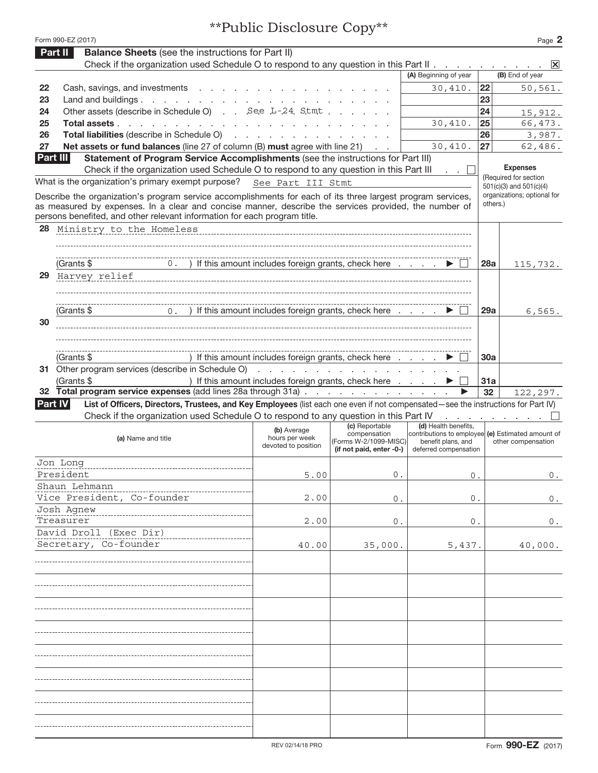|          | Form 990-EZ (2017)                                                                                                                                                                                                             |                                                                                     |                                                   |                                                                           |            | Page 2                                               |
|----------|--------------------------------------------------------------------------------------------------------------------------------------------------------------------------------------------------------------------------------|-------------------------------------------------------------------------------------|---------------------------------------------------|---------------------------------------------------------------------------|------------|------------------------------------------------------|
|          | Part II<br><b>Balance Sheets</b> (see the instructions for Part II)                                                                                                                                                            |                                                                                     |                                                   |                                                                           |            |                                                      |
|          | Check if the organization used Schedule O to respond to any question in this Part II                                                                                                                                           |                                                                                     |                                                   |                                                                           |            | $\vert x \vert$                                      |
|          |                                                                                                                                                                                                                                |                                                                                     |                                                   | (A) Beginning of year                                                     |            | (B) End of year                                      |
| 22       |                                                                                                                                                                                                                                |                                                                                     |                                                   | 30,410.                                                                   | 22         | 50, 561.                                             |
| 23       |                                                                                                                                                                                                                                |                                                                                     |                                                   |                                                                           | 23         |                                                      |
| 24       | Other assets (describe in Schedule O) See L-24. Stmt                                                                                                                                                                           |                                                                                     |                                                   |                                                                           | 24         | 15,912.                                              |
| 25       |                                                                                                                                                                                                                                |                                                                                     |                                                   | 30,410.                                                                   | 25         | 66,473.                                              |
| 26       | Total liabilities (describe in Schedule O) (Contact of Contact of Contact of Contact of Contact of Contact of Contact of Contact of Contact of Contact of Contact of Contact of Contact of Contact of Contact of Contact of Co |                                                                                     |                                                   |                                                                           | 26         | 3,987.                                               |
| 27       | Net assets or fund balances (line 27 of column (B) must agree with line 21)                                                                                                                                                    |                                                                                     |                                                   | 30,410.                                                                   | 27         | 62,486.                                              |
| Part III | Statement of Program Service Accomplishments (see the instructions for Part III)                                                                                                                                               |                                                                                     |                                                   |                                                                           |            |                                                      |
|          | Check if the organization used Schedule O to respond to any question in this Part III                                                                                                                                          |                                                                                     |                                                   | $1 - 1$                                                                   |            | <b>Expenses</b>                                      |
|          | What is the organization's primary exempt purpose? See Part III Stmt                                                                                                                                                           |                                                                                     |                                                   |                                                                           |            | (Required for section<br>$501(c)(3)$ and $501(c)(4)$ |
|          | Describe the organization's program service accomplishments for each of its three largest program services,                                                                                                                    |                                                                                     |                                                   |                                                                           |            | organizations; optional for                          |
|          | as measured by expenses. In a clear and concise manner, describe the services provided, the number of                                                                                                                          |                                                                                     |                                                   |                                                                           | others.)   |                                                      |
|          | persons benefited, and other relevant information for each program title.<br>28 Ministry to the Homeless                                                                                                                       |                                                                                     |                                                   |                                                                           |            |                                                      |
|          |                                                                                                                                                                                                                                |                                                                                     |                                                   |                                                                           |            |                                                      |
|          |                                                                                                                                                                                                                                |                                                                                     |                                                   |                                                                           |            |                                                      |
|          | 0. ) If this amount includes foreign grants, check here $\ldots$ $\blacktriangleright$<br>(Grants \$                                                                                                                           |                                                                                     |                                                   |                                                                           | <b>28a</b> | 115,732.                                             |
| 29       | Harvey relief                                                                                                                                                                                                                  |                                                                                     |                                                   |                                                                           |            |                                                      |
|          |                                                                                                                                                                                                                                |                                                                                     |                                                   |                                                                           |            |                                                      |
|          | (Grants \$<br>0. ) If this amount includes foreign grants, check here $\ldots$                                                                                                                                                 |                                                                                     |                                                   |                                                                           | 29a        | 6,565.                                               |
| 30       |                                                                                                                                                                                                                                |                                                                                     |                                                   |                                                                           |            |                                                      |
|          |                                                                                                                                                                                                                                |                                                                                     |                                                   |                                                                           |            |                                                      |
|          |                                                                                                                                                                                                                                |                                                                                     |                                                   |                                                                           |            |                                                      |
|          | (Grants \$                                                                                                                                                                                                                     | ) If this amount includes foreign grants, check here $\ldots$ $\blacktriangleright$ |                                                   |                                                                           | 30a        |                                                      |
|          | 31 Other program services (describe in Schedule O)                                                                                                                                                                             |                                                                                     | de la casa de la casa de la casa de la casa de la |                                                                           |            |                                                      |
|          | (Grants \$                                                                                                                                                                                                                     | ) If this amount includes foreign grants, check here $\ldots$ $\blacktriangleright$ |                                                   |                                                                           | 31a        |                                                      |
|          | 32 Total program service expenses (add lines 28a through 31a)                                                                                                                                                                  |                                                                                     |                                                   | ▶                                                                         | 32         | 122,297.                                             |
|          | Part IV<br>List of Officers, Directors, Trustees, and Key Employees (list each one even if not compensated-see the instructions for Part IV)                                                                                   |                                                                                     |                                                   |                                                                           |            |                                                      |
|          | Check if the organization used Schedule O to respond to any question in this Part IV                                                                                                                                           |                                                                                     |                                                   |                                                                           |            |                                                      |
|          |                                                                                                                                                                                                                                |                                                                                     |                                                   |                                                                           |            | and the contract of the con-                         |
|          |                                                                                                                                                                                                                                | (b) Average                                                                         | (c) Reportable<br>compensation                    | (d) Health benefits.<br>contributions to employee (e) Estimated amount of |            |                                                      |
|          | (a) Name and title                                                                                                                                                                                                             | hours per week<br>devoted to position                                               | (Forms W-2/1099-MISC)                             | benefit plans, and                                                        |            | other compensation                                   |
|          |                                                                                                                                                                                                                                |                                                                                     | (if not paid, enter -0-)                          | deferred compensation                                                     |            |                                                      |
|          | Jon Long                                                                                                                                                                                                                       |                                                                                     |                                                   |                                                                           |            |                                                      |
|          | President                                                                                                                                                                                                                      | 5.00                                                                                | $\circ$ .                                         | О.                                                                        |            | 0.                                                   |
|          | Shaun Lehmann                                                                                                                                                                                                                  |                                                                                     |                                                   |                                                                           |            |                                                      |
|          | Vice President, Co-founder                                                                                                                                                                                                     | 2.00                                                                                | Ο.                                                | 0.                                                                        |            | 0.                                                   |
|          | Josh Agnew                                                                                                                                                                                                                     |                                                                                     |                                                   |                                                                           |            |                                                      |
|          | Treasurer                                                                                                                                                                                                                      | 2.00                                                                                | Ο.                                                | Ο.                                                                        |            | 0.                                                   |
|          | David Droll (Exec Dir)                                                                                                                                                                                                         |                                                                                     |                                                   |                                                                           |            |                                                      |
|          |                                                                                                                                                                                                                                | 40.00                                                                               | 35,000.                                           | 5,437.                                                                    |            | 40,000.                                              |
|          |                                                                                                                                                                                                                                |                                                                                     |                                                   |                                                                           |            |                                                      |
|          |                                                                                                                                                                                                                                |                                                                                     |                                                   |                                                                           |            |                                                      |
|          |                                                                                                                                                                                                                                |                                                                                     |                                                   |                                                                           |            |                                                      |
|          |                                                                                                                                                                                                                                |                                                                                     |                                                   |                                                                           |            |                                                      |
|          |                                                                                                                                                                                                                                |                                                                                     |                                                   |                                                                           |            |                                                      |
|          |                                                                                                                                                                                                                                |                                                                                     |                                                   |                                                                           |            |                                                      |
|          |                                                                                                                                                                                                                                |                                                                                     |                                                   |                                                                           |            |                                                      |
|          |                                                                                                                                                                                                                                |                                                                                     |                                                   |                                                                           |            |                                                      |
|          |                                                                                                                                                                                                                                |                                                                                     |                                                   |                                                                           |            |                                                      |
|          |                                                                                                                                                                                                                                |                                                                                     |                                                   |                                                                           |            |                                                      |
|          |                                                                                                                                                                                                                                |                                                                                     |                                                   |                                                                           |            |                                                      |
|          |                                                                                                                                                                                                                                |                                                                                     |                                                   |                                                                           |            |                                                      |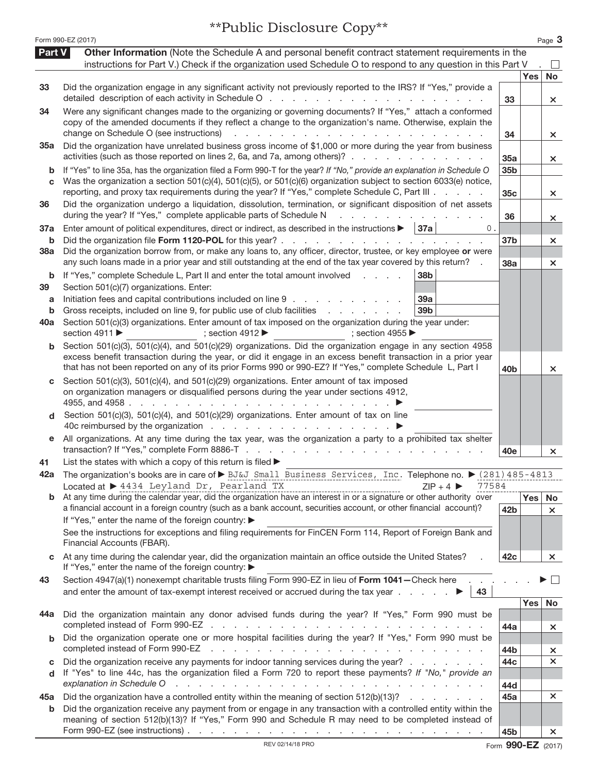Form 990-EZ (2017)

|          | Page 3 |  |
|----------|--------|--|
| s in the |        |  |
| s Part V |        |  |
|          |        |  |

| Part V  | Other Information (Note the Schedule A and personal benefit contract statement requirements in the                                                                                                                                                                                                                                                          |                        |            |               |
|---------|-------------------------------------------------------------------------------------------------------------------------------------------------------------------------------------------------------------------------------------------------------------------------------------------------------------------------------------------------------------|------------------------|------------|---------------|
|         | instructions for Part V.) Check if the organization used Schedule O to respond to any question in this Part V                                                                                                                                                                                                                                               |                        |            |               |
| 33      | Did the organization engage in any significant activity not previously reported to the IRS? If "Yes," provide a                                                                                                                                                                                                                                             |                        | <b>Yes</b> | No            |
|         |                                                                                                                                                                                                                                                                                                                                                             | 33                     |            | ×             |
| 34      | Were any significant changes made to the organizing or governing documents? If "Yes," attach a conformed<br>copy of the amended documents if they reflect a change to the organization's name. Otherwise, explain the<br>change on Schedule O (see instructions)<br>and a strain and a strain and a<br><b>Contract Contract</b>                             | 34                     |            |               |
| 35а     | Did the organization have unrelated business gross income of \$1,000 or more during the year from business                                                                                                                                                                                                                                                  |                        |            | ×.            |
|         | activities (such as those reported on lines 2, 6a, and 7a, among others)?                                                                                                                                                                                                                                                                                   | 35a                    |            | ×             |
| b<br>C  | If "Yes" to line 35a, has the organization filed a Form 990-T for the year? If "No," provide an explanation in Schedule O<br>Was the organization a section 501(c)(4), 501(c)(5), or 501(c)(6) organization subject to section 6033(e) notice,<br>reporting, and proxy tax requirements during the year? If "Yes," complete Schedule C, Part III            | 35 <sub>b</sub><br>35c |            | ×.            |
| 36      | Did the organization undergo a liquidation, dissolution, termination, or significant disposition of net assets<br>during the year? If "Yes," complete applicable parts of Schedule N<br>and a state of the state                                                                                                                                            | 36                     |            | ×.            |
| 37a     | Enter amount of political expenditures, direct or indirect, as described in the instructions $\blacktriangleright$   37a  <br>0.                                                                                                                                                                                                                            |                        |            |               |
| b       | Did the organization file Form 1120-POL for this year?                                                                                                                                                                                                                                                                                                      | 37 <sub>b</sub>        |            | ×             |
| 38a     | Did the organization borrow from, or make any loans to, any officer, director, trustee, or key employee or were<br>any such loans made in a prior year and still outstanding at the end of the tax year covered by this return?                                                                                                                             |                        |            |               |
|         | If "Yes," complete Schedule L, Part II and enter the total amount involved<br>38 <sub>b</sub>                                                                                                                                                                                                                                                               | 38a                    |            | ×.            |
| b<br>39 | Section 501(c)(7) organizations. Enter:                                                                                                                                                                                                                                                                                                                     |                        |            |               |
| a       | Initiation fees and capital contributions included on line 9<br>39a                                                                                                                                                                                                                                                                                         |                        |            |               |
| b       | 39 <sub>b</sub><br>Gross receipts, included on line 9, for public use of club facilities<br>and the company of the company of                                                                                                                                                                                                                               |                        |            |               |
| 40a     | Section 501(c)(3) organizations. Enter amount of tax imposed on the organization during the year under:<br>section 4911 ▶<br>; section 4912 $\blacktriangleright$<br>; section 4955                                                                                                                                                                         |                        |            |               |
| b       | Section 501(c)(3), 501(c)(4), and 501(c)(29) organizations. Did the organization engage in any section 4958                                                                                                                                                                                                                                                 |                        |            |               |
|         | excess benefit transaction during the year, or did it engage in an excess benefit transaction in a prior year<br>that has not been reported on any of its prior Forms 990 or 990-EZ? If "Yes," complete Schedule L, Part I                                                                                                                                  | 40 <sub>b</sub>        |            | $\times$      |
| С       | Section 501(c)(3), 501(c)(4), and 501(c)(29) organizations. Enter amount of tax imposed                                                                                                                                                                                                                                                                     |                        |            |               |
|         | on organization managers or disqualified persons during the year under sections 4912,                                                                                                                                                                                                                                                                       |                        |            |               |
| d       | Section 501(c)(3), 501(c)(4), and 501(c)(29) organizations. Enter amount of tax on line<br>40c reimbursed by the organization                                                                                                                                                                                                                               |                        |            |               |
| е       | All organizations. At any time during the tax year, was the organization a party to a prohibited tax shelter                                                                                                                                                                                                                                                | 40e                    |            | ×.            |
| 41      | List the states with which a copy of this return is filed $\blacktriangleright$                                                                                                                                                                                                                                                                             |                        |            |               |
| 42a     | The organization's books are in care of ▶ BJ&J Small Business Services, Inc. Telephone no. ▶ (281) 485-4813                                                                                                                                                                                                                                                 |                        |            |               |
|         | Located at ▶ 4434 Leyland Dr, Pearland TX<br>$ZIP + 4$<br>77584                                                                                                                                                                                                                                                                                             |                        |            |               |
| b       | At any time during the calendar year, did the organization have an interest in or a signature or other authority over<br>a financial account in a foreign country (such as a bank account, securities account, or other financial account)?                                                                                                                 | 42 <sub>b</sub>        | Yes   No   | $\times$      |
|         | If "Yes," enter the name of the foreign country: ▶                                                                                                                                                                                                                                                                                                          |                        |            |               |
|         | See the instructions for exceptions and filing requirements for FinCEN Form 114, Report of Foreign Bank and<br>Financial Accounts (FBAR).                                                                                                                                                                                                                   |                        |            |               |
| c       | At any time during the calendar year, did the organization maintain an office outside the United States?<br>If "Yes," enter the name of the foreign country: ▶                                                                                                                                                                                              | 42 <sub>c</sub>        |            | ×             |
| 43      | Section 4947(a)(1) nonexempt charitable trusts filing Form 990-EZ in lieu of Form 1041-Check here<br>and enter the amount of tax-exempt interest received or accrued during the tax year $\ldots$ $\ldots$<br>43                                                                                                                                            |                        |            |               |
|         |                                                                                                                                                                                                                                                                                                                                                             |                        | Yes        | No            |
| 44a     | Did the organization maintain any donor advised funds during the year? If "Yes," Form 990 must be                                                                                                                                                                                                                                                           | 44a                    |            | ×             |
| b       | Did the organization operate one or more hospital facilities during the year? If "Yes," Form 990 must be<br>completed instead of Form 990-EZ<br>the contract of the contract of the contract of the contract of the contract of                                                                                                                             | 44b                    |            |               |
| C       | Did the organization receive any payments for indoor tanning services during the year?                                                                                                                                                                                                                                                                      | 44c                    |            | ×<br>$\times$ |
| d       | If "Yes" to line 44c, has the organization filed a Form 720 to report these payments? If "No," provide an<br>explanation in Schedule O<br>the contract of the contract of the contract of the contract of the contract of the contract of the contract of                                                                                                   | 44d                    |            |               |
| 45а     | Did the organization have a controlled entity within the meaning of section $512(b)(13)?$                                                                                                                                                                                                                                                                   | 45a                    |            | $\times$      |
| b       | Did the organization receive any payment from or engage in any transaction with a controlled entity within the<br>meaning of section 512(b)(13)? If "Yes," Form 990 and Schedule R may need to be completed instead of<br>Form 990-EZ (see instructions) $\ldots$ $\ldots$ $\ldots$ $\ldots$ $\ldots$ $\ldots$ $\ldots$ $\ldots$ $\ldots$ $\ldots$ $\ldots$ | 45 <sub>b</sub>        |            | $\times$      |
|         |                                                                                                                                                                                                                                                                                                                                                             |                        |            |               |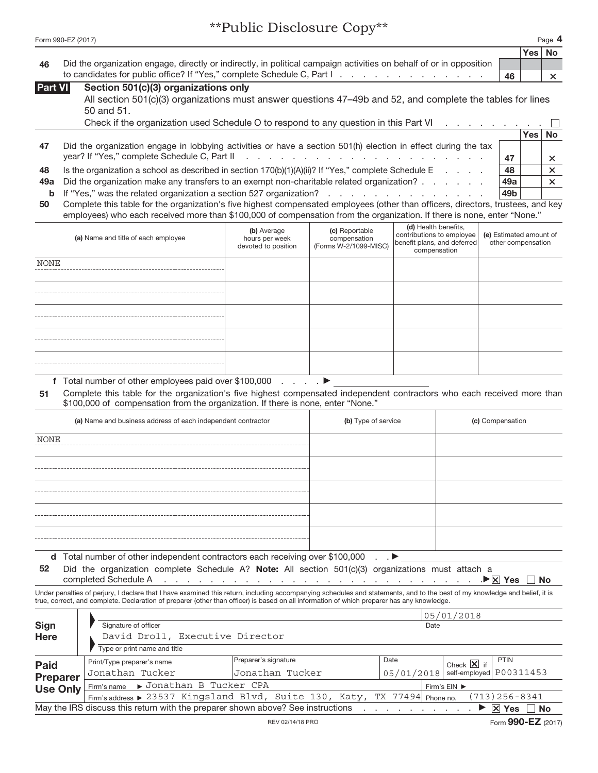|                |                                                                                                                                                                                                                                                                                                                          | **Public Disclosure Copy**                           |                                                                            |                                                                          |                                               |            |           |
|----------------|--------------------------------------------------------------------------------------------------------------------------------------------------------------------------------------------------------------------------------------------------------------------------------------------------------------------------|------------------------------------------------------|----------------------------------------------------------------------------|--------------------------------------------------------------------------|-----------------------------------------------|------------|-----------|
|                | Form 990-EZ (2017)                                                                                                                                                                                                                                                                                                       |                                                      |                                                                            |                                                                          |                                               |            | Page 4    |
| 46             | Did the organization engage, directly or indirectly, in political campaign activities on behalf of or in opposition                                                                                                                                                                                                      |                                                      |                                                                            |                                                                          |                                               | Yes        | <b>No</b> |
|                | to candidates for public office? If "Yes," complete Schedule C, Part I.                                                                                                                                                                                                                                                  |                                                      |                                                                            |                                                                          | 46                                            |            | ×         |
| <b>Part VI</b> | Section 501(c)(3) organizations only                                                                                                                                                                                                                                                                                     |                                                      |                                                                            |                                                                          |                                               |            |           |
|                | All section 501(c)(3) organizations must answer questions 47-49b and 52, and complete the tables for lines                                                                                                                                                                                                               |                                                      |                                                                            |                                                                          |                                               |            |           |
|                | 50 and 51.                                                                                                                                                                                                                                                                                                               |                                                      |                                                                            |                                                                          |                                               |            |           |
|                | Check if the organization used Schedule O to respond to any question in this Part VI                                                                                                                                                                                                                                     |                                                      |                                                                            |                                                                          |                                               | <b>Yes</b> | <b>No</b> |
| 47             | Did the organization engage in lobbying activities or have a section 501(h) election in effect during the tax<br>year? If "Yes," complete Schedule C, Part II<br>and the company of the company of the company of<br>47                                                                                                  |                                                      |                                                                            |                                                                          | ×.                                            |            |           |
| 48             | Is the organization a school as described in section $170(b)(1)(A)(ii)$ ? If "Yes," complete Schedule E                                                                                                                                                                                                                  |                                                      |                                                                            |                                                                          | 48                                            |            | $\times$  |
| 49a            | Did the organization make any transfers to an exempt non-charitable related organization?                                                                                                                                                                                                                                |                                                      |                                                                            |                                                                          | 49a                                           |            | $\times$  |
| b              | If "Yes," was the related organization a section 527 organization?                                                                                                                                                                                                                                                       |                                                      |                                                                            | .                                                                        | 49 <sub>b</sub>                               |            |           |
| 50             | Complete this table for the organization's five highest compensated employees (other than officers, directors, trustees, and key                                                                                                                                                                                         |                                                      |                                                                            |                                                                          |                                               |            |           |
|                | employees) who each received more than \$100,000 of compensation from the organization. If there is none, enter "None."                                                                                                                                                                                                  |                                                      |                                                                            | (d) Health benefits.                                                     |                                               |            |           |
|                | (a) Name and title of each employee                                                                                                                                                                                                                                                                                      | (b) Average<br>hours per week<br>devoted to position | (c) Reportable<br>compensation<br>(Forms W-2/1099-MISC)                    | contributions to employee<br>benefit plans, and deferred<br>compensation | (e) Estimated amount of<br>other compensation |            |           |
| NONE           |                                                                                                                                                                                                                                                                                                                          |                                                      |                                                                            |                                                                          |                                               |            |           |
|                |                                                                                                                                                                                                                                                                                                                          |                                                      |                                                                            |                                                                          |                                               |            |           |
|                |                                                                                                                                                                                                                                                                                                                          |                                                      |                                                                            |                                                                          |                                               |            |           |
|                |                                                                                                                                                                                                                                                                                                                          |                                                      |                                                                            |                                                                          |                                               |            |           |
|                |                                                                                                                                                                                                                                                                                                                          |                                                      |                                                                            |                                                                          |                                               |            |           |
|                |                                                                                                                                                                                                                                                                                                                          |                                                      |                                                                            |                                                                          |                                               |            |           |
|                |                                                                                                                                                                                                                                                                                                                          |                                                      |                                                                            |                                                                          |                                               |            |           |
|                |                                                                                                                                                                                                                                                                                                                          |                                                      |                                                                            |                                                                          |                                               |            |           |
|                |                                                                                                                                                                                                                                                                                                                          |                                                      |                                                                            |                                                                          |                                               |            |           |
| 51             | f Total number of other employees paid over \$100,000<br>Complete this table for the organization's five highest compensated independent contractors who each received more than<br>\$100,000 of compensation from the organization. If there is none, enter "None."                                                     | $\ldots$ . $\blacktriangleright$                     |                                                                            |                                                                          |                                               |            |           |
|                | (a) Name and business address of each independent contractor                                                                                                                                                                                                                                                             |                                                      | (b) Type of service                                                        |                                                                          | (c) Compensation                              |            |           |
| NONE           |                                                                                                                                                                                                                                                                                                                          |                                                      |                                                                            |                                                                          |                                               |            |           |
|                |                                                                                                                                                                                                                                                                                                                          |                                                      |                                                                            |                                                                          |                                               |            |           |
|                |                                                                                                                                                                                                                                                                                                                          |                                                      |                                                                            |                                                                          |                                               |            |           |
|                |                                                                                                                                                                                                                                                                                                                          |                                                      |                                                                            |                                                                          |                                               |            |           |
|                |                                                                                                                                                                                                                                                                                                                          |                                                      |                                                                            |                                                                          |                                               |            |           |
|                |                                                                                                                                                                                                                                                                                                                          |                                                      |                                                                            |                                                                          |                                               |            |           |
|                |                                                                                                                                                                                                                                                                                                                          |                                                      |                                                                            |                                                                          |                                               |            |           |
|                |                                                                                                                                                                                                                                                                                                                          |                                                      |                                                                            |                                                                          |                                               |            |           |
|                |                                                                                                                                                                                                                                                                                                                          |                                                      |                                                                            |                                                                          |                                               |            |           |
|                | d Total number of other independent contractors each receiving over \$100,000                                                                                                                                                                                                                                            |                                                      |                                                                            |                                                                          |                                               |            |           |
| 52             | Did the organization complete Schedule A? Note: All section 501(c)(3) organizations must attach a<br>completed Schedule A                                                                                                                                                                                                |                                                      | والمتعاون والمتعاون والمتعاونة والمتعاونة والمتعاونة والمتعاونة والمتعاونة |                                                                          | $\cdot \cdot$ $\times$ Yes                    |            | No        |
|                | Under penalties of perjury, I declare that I have examined this return, including accompanying schedules and statements, and to the best of my knowledge and belief, it is<br>true, correct, and complete. Declaration of preparer (other than officer) is based on all information of which preparer has any knowledge. |                                                      |                                                                            |                                                                          |                                               |            |           |
|                |                                                                                                                                                                                                                                                                                                                          |                                                      |                                                                            | 05/01/2018                                                               |                                               |            |           |
| <b>Sign</b>    | Signature of officer                                                                                                                                                                                                                                                                                                     |                                                      |                                                                            | Date                                                                     |                                               |            |           |
| Here           | David Droll, Executive Director<br>Type or print name and title                                                                                                                                                                                                                                                          |                                                      |                                                                            |                                                                          |                                               |            |           |
|                |                                                                                                                                                                                                                                                                                                                          |                                                      |                                                                            |                                                                          |                                               |            |           |

| <b>Paid</b>                                                                                               | Print/Type preparer's name                                                         | Preparer's signature                                                                      | Date | $ $ Check $\boxtimes$ if $ $ PTIN  |  |  |
|-----------------------------------------------------------------------------------------------------------|------------------------------------------------------------------------------------|-------------------------------------------------------------------------------------------|------|------------------------------------|--|--|
| Preparer                                                                                                  | Jonathan Tucker                                                                    | Jonathan Tucker                                                                           |      | 05/01/2018 self-employed P00311453 |  |  |
|                                                                                                           | Use Only Firm's name > Jonathan B Tucker CPA<br>Firm's $EIN$ $\blacktriangleright$ |                                                                                           |      |                                    |  |  |
|                                                                                                           |                                                                                    | Firm's address > 23537 Kingsland Blvd, Suite 130, Katy, TX 77494 Phone no. (713) 256-8341 |      |                                    |  |  |
| May the IRS discuss this return with the preparer shown above? See instructions<br>▸ ⊠ Yes 「<br>$\Box$ No |                                                                                    |                                                                                           |      |                                    |  |  |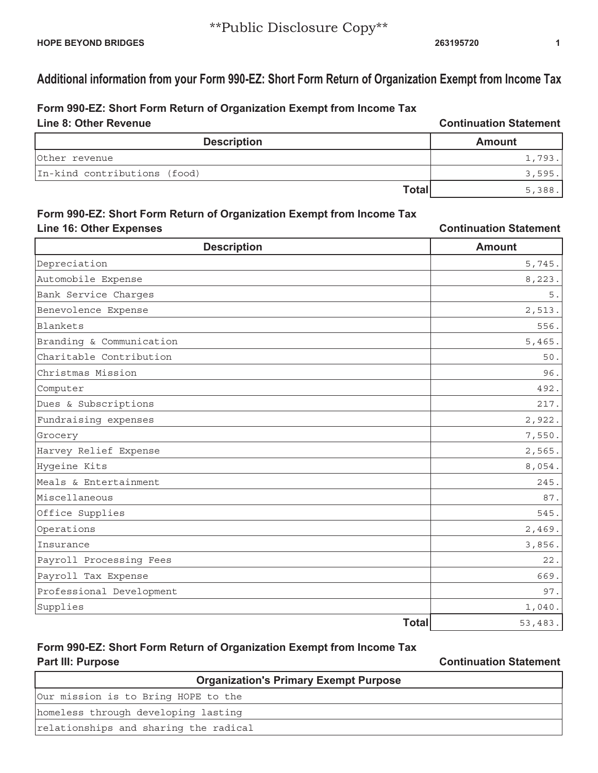### **Additional information from your Form 990-EZ: Short Form Return of Organization Exempt from Income Tax**

| Form 990-EZ: Short Form Return of Organization Exempt from Income Tax |                               |  |  |  |  |
|-----------------------------------------------------------------------|-------------------------------|--|--|--|--|
| <b>Line 8: Other Revenue</b>                                          | <b>Continuation Statement</b> |  |  |  |  |
| <b>Description</b>                                                    | <b>Amount</b>                 |  |  |  |  |
| Other revenue                                                         | 1,793.                        |  |  |  |  |
| In-kind contributions (food)                                          | 3,595.                        |  |  |  |  |
| <b>Total</b>                                                          | 5,388.                        |  |  |  |  |

### **Form 990-EZ: Short Form Return of Organization Exempt from Income Tax Line 16: Other Expenses Continuation Statement**

| <b>Description</b>       | <b>Amount</b> |
|--------------------------|---------------|
| Depreciation             | 5,745.        |
| Automobile Expense       | 8,223.        |
| Bank Service Charges     | 5.            |
| Benevolence Expense      | 2,513.        |
| Blankets                 | 556.          |
| Branding & Communication | 5,465.        |
| Charitable Contribution  | 50.           |
| Christmas Mission        | 96.           |
| Computer                 | 492.          |
| Dues & Subscriptions     | 217.          |
| Fundraising expenses     | 2,922.        |
| Grocery                  | 7,550.        |
| Harvey Relief Expense    | 2,565.        |
| Hygeine Kits             | 8,054.        |
| Meals & Entertainment    | 245.          |
| Miscellaneous            | 87.           |
| Office Supplies          | 545.          |
| Operations               | 2,469.        |
| Insurance                | 3,856.        |
| Payroll Processing Fees  | 22.           |
| Payroll Tax Expense      | 669.          |
| Professional Development | 97.           |
| Supplies                 | 1,040.        |
| <b>Total</b>             | 53,483.       |

### **Form 990-EZ: Short Form Return of Organization Exempt from Income Tax** Part III: Purpose **Continuation Statement**

| <b>Organization's Primary Exempt Purpose</b> |  |  |
|----------------------------------------------|--|--|
| Our mission is to Bring HOPE to the          |  |  |
| homeless through developing lasting          |  |  |
| relationships and sharing the radical        |  |  |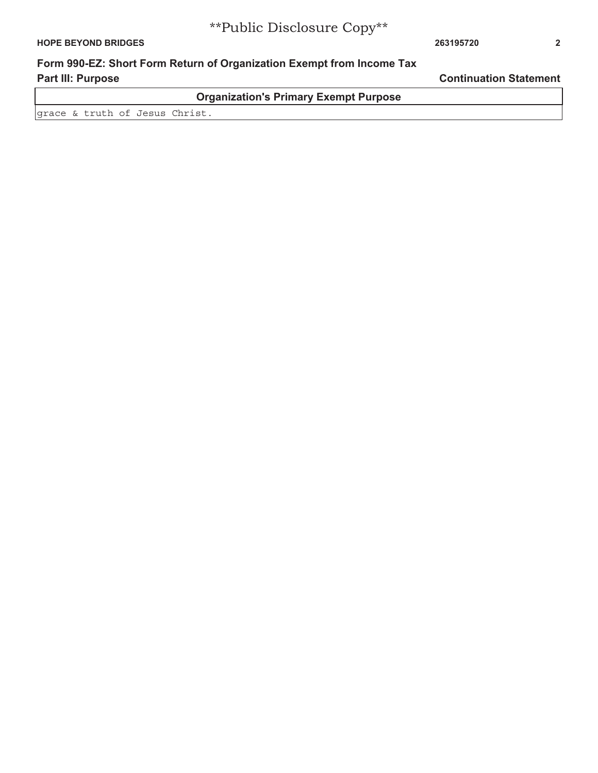### **Form 990-EZ: Short Form Return of Organization Exempt from Income Tax** Part III: Purpose **Continuation Statement**

**Organization's Primary Exempt Purpose**

grace & truth of Jesus Christ.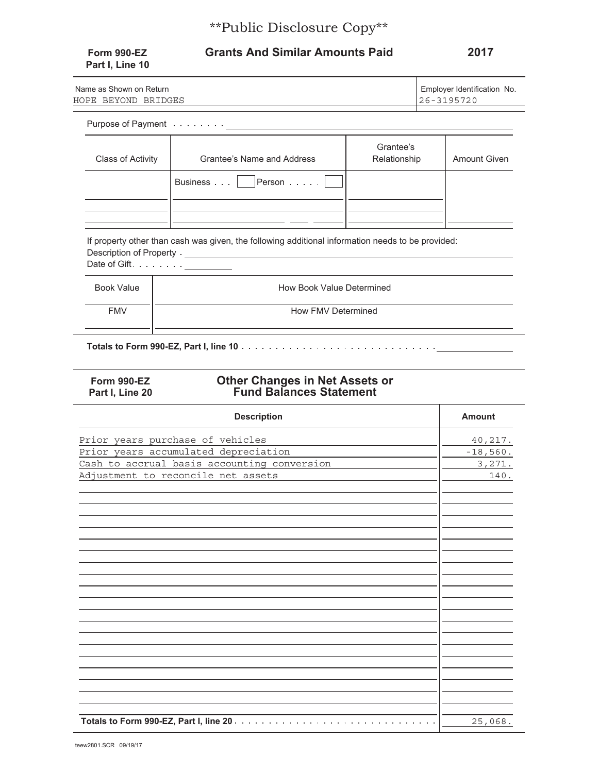**Part I, Line 10**

### **Form 990-EZ Grants And Similar Amounts Paid 2017**

| Name as Shown on Return | Employer Identification No. |
|-------------------------|-----------------------------|
| HOPE BEYOND BRIDGES     | 126-3195720                 |
|                         |                             |

# Purpose of Payment  $\cdots \cdots$

| Class of Activity | Grantee's Name and Address | Grantee's<br>Relationship | <b>Amount Given</b> |
|-------------------|----------------------------|---------------------------|---------------------|
|                   | $Person \dots$<br>Business |                           |                     |
|                   |                            |                           |                     |
|                   |                            |                           |                     |

If property other than cash was given, the following additional information needs to be provided: Description of Property

Date of Gift.

| Book Value | How Book Value Determined |
|------------|---------------------------|
| <b>FMV</b> | How FMV Determined        |
|            |                           |

### **Totals to Form 990-EZ, Part I, line 10**

**Form 990-EZ Other Changes in Net Assets or Part I, Line 20 Fund Balances Statement**

| <b>Description</b>                          | <b>Amount</b> |
|---------------------------------------------|---------------|
| Prior years purchase of vehicles            | 40, 217.      |
| Prior years accumulated depreciation        | $-18,560.$    |
| Cash to accrual basis accounting conversion | 3,271.        |
| Adjustment to reconcile net assets          | 140.          |
|                                             |               |
|                                             |               |
|                                             |               |
|                                             |               |
|                                             |               |
|                                             |               |
|                                             |               |
|                                             |               |
|                                             |               |
|                                             |               |
| Totals to Form 990-EZ, Part I, line 20      | 25,068.       |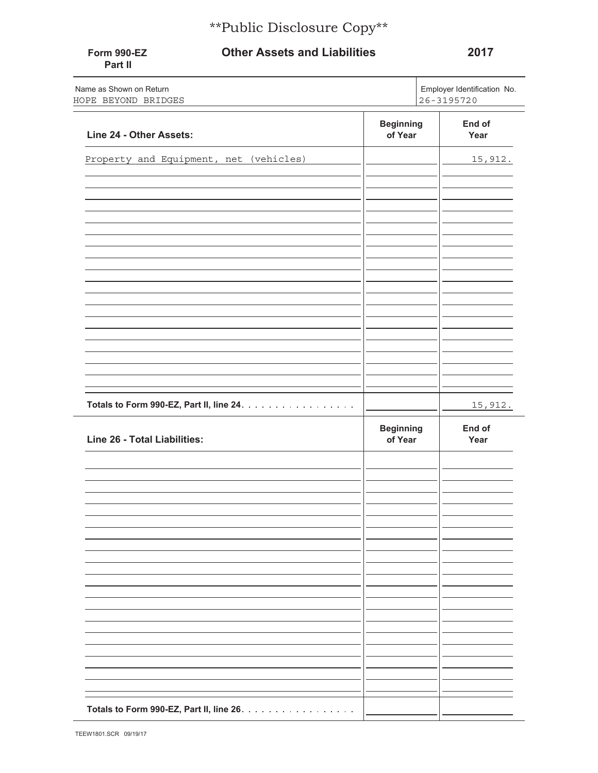| Form 990-EZ    | <b>Other Assets and Liabilities</b> | 2017 |
|----------------|-------------------------------------|------|
| <b>Part II</b> |                                     |      |

| Name as Shown on Return<br>HOPE BEYOND BRIDGES | Employer Identification No.<br>26-3195720 |                |
|------------------------------------------------|-------------------------------------------|----------------|
| Line 24 - Other Assets:                        | <b>Beginning</b><br>of Year               | End of<br>Year |
| Property and Equipment, net (vehicles)         |                                           | 15,912.        |
|                                                |                                           |                |
|                                                |                                           |                |
|                                                |                                           |                |
|                                                |                                           |                |
|                                                |                                           |                |
|                                                |                                           |                |
|                                                |                                           |                |
| Totals to Form 990-EZ, Part II, line 24.       |                                           | 15,912.        |
| Line 26 - Total Liabilities:                   | <b>Beginning</b><br>of Year               | End of<br>Year |
|                                                |                                           |                |
|                                                |                                           |                |
|                                                |                                           |                |
|                                                |                                           |                |
|                                                |                                           |                |
|                                                |                                           |                |
|                                                |                                           |                |
|                                                |                                           |                |
|                                                |                                           |                |
| Totals to Form 990-EZ, Part II, line 26.       |                                           |                |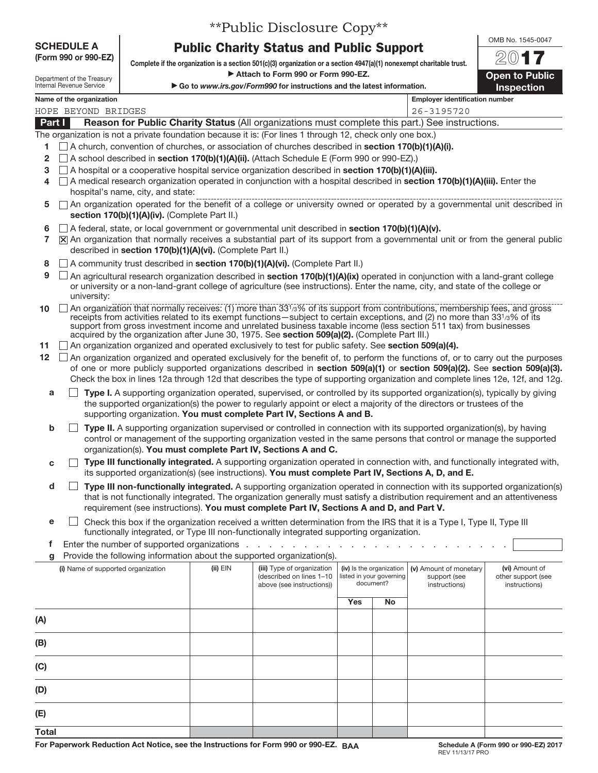| **Public Disclosure Copy** |  |
|----------------------------|--|
|----------------------------|--|

#### **SCHEDULE A (Form 990 or 990-EZ)**

**Public Charity Status and Public Support**

**Complete if the organization is a section 501(c)(3) organization or a section 4947(a)(1) nonexempt charitable trust.** a **Attach to Form 990 or Form 990-EZ.** 

Department of the Treasury Internal Revenue Service

**(C)**

**(D)**

**(E) Total**

| Go to www.irs.gov/Form990 for instructions and the latest information. |  |  |
|------------------------------------------------------------------------|--|--|



|  |  | Name of the organization |  |
|--|--|--------------------------|--|
|--|--|--------------------------|--|

| Name of the organization                                                                                                                                                                                                              |                                                                                                                                                                                                                                                     |                                                        |     |                                                      | <b>Employer identification number</b>  |                                      |
|---------------------------------------------------------------------------------------------------------------------------------------------------------------------------------------------------------------------------------------|-----------------------------------------------------------------------------------------------------------------------------------------------------------------------------------------------------------------------------------------------------|--------------------------------------------------------|-----|------------------------------------------------------|----------------------------------------|--------------------------------------|
| HOPE BEYOND BRIDGES                                                                                                                                                                                                                   |                                                                                                                                                                                                                                                     |                                                        |     |                                                      | 26-3195720                             |                                      |
| Reason for Public Charity Status (All organizations must complete this part.) See instructions.<br>Part I                                                                                                                             |                                                                                                                                                                                                                                                     |                                                        |     |                                                      |                                        |                                      |
| The organization is not a private foundation because it is: (For lines 1 through 12, check only one box.)                                                                                                                             |                                                                                                                                                                                                                                                     |                                                        |     |                                                      |                                        |                                      |
| $\Box$ A church, convention of churches, or association of churches described in section 170(b)(1)(A)(i).<br>1                                                                                                                        |                                                                                                                                                                                                                                                     |                                                        |     |                                                      |                                        |                                      |
| $\Box$ A school described in <b>section 170(b)(1)(A)(ii).</b> (Attach Schedule E (Form 990 or 990-EZ).)<br>2                                                                                                                          |                                                                                                                                                                                                                                                     |                                                        |     |                                                      |                                        |                                      |
| З                                                                                                                                                                                                                                     | $\Box$ A hospital or a cooperative hospital service organization described in <b>section 170(b)(1)(A)(iii).</b><br>$\Box$ A medical research organization operated in conjunction with a hospital described in section 170(b)(1)(A)(iii). Enter the |                                                        |     |                                                      |                                        |                                      |
| 4<br>hospital's name, city, and state:                                                                                                                                                                                                |                                                                                                                                                                                                                                                     |                                                        |     |                                                      |                                        |                                      |
| □ An organization operated for the benefit of a college or university owned or operated by a governmental unit described in<br>5                                                                                                      |                                                                                                                                                                                                                                                     |                                                        |     |                                                      |                                        |                                      |
| section 170(b)(1)(A)(iv). (Complete Part II.)                                                                                                                                                                                         |                                                                                                                                                                                                                                                     |                                                        |     |                                                      |                                        |                                      |
| $\Box$ A federal, state, or local government or governmental unit described in section 170(b)(1)(A)(v).<br>6                                                                                                                          |                                                                                                                                                                                                                                                     |                                                        |     |                                                      |                                        |                                      |
| $[\overline{x}]$ An organization that normally receives a substantial part of its support from a governmental unit or from the general public<br>7                                                                                    |                                                                                                                                                                                                                                                     |                                                        |     |                                                      |                                        |                                      |
| described in section 170(b)(1)(A)(vi). (Complete Part II.)                                                                                                                                                                            |                                                                                                                                                                                                                                                     |                                                        |     |                                                      |                                        |                                      |
| A community trust described in section 170(b)(1)(A)(vi). (Complete Part II.)<br>8                                                                                                                                                     |                                                                                                                                                                                                                                                     |                                                        |     |                                                      |                                        |                                      |
| 9<br>An agricultural research organization described in section 170(b)(1)(A)(ix) operated in conjunction with a land-grant college                                                                                                    |                                                                                                                                                                                                                                                     |                                                        |     |                                                      |                                        |                                      |
| or university or a non-land-grant college of agriculture (see instructions). Enter the name, city, and state of the college or                                                                                                        |                                                                                                                                                                                                                                                     |                                                        |     |                                                      |                                        |                                      |
| university:<br>An organization that normally receives: (1) more than 331/3% of its support from contributions, membership fees, and gross<br>10                                                                                       |                                                                                                                                                                                                                                                     |                                                        |     |                                                      |                                        |                                      |
| receipts from activities related to its exempt functions—subject to certain exceptions, and (2) no more than 331/3% of its                                                                                                            |                                                                                                                                                                                                                                                     |                                                        |     |                                                      |                                        |                                      |
| support from gross investment income and unrelated business taxable income (less section 511 tax) from businesses                                                                                                                     |                                                                                                                                                                                                                                                     |                                                        |     |                                                      |                                        |                                      |
| acquired by the organization after June 30, 1975. See section 509(a)(2). (Complete Part III.)<br>$\Box$ An organization organized and operated exclusively to test for public safety. See section 509(a)(4).<br>11                    |                                                                                                                                                                                                                                                     |                                                        |     |                                                      |                                        |                                      |
| 12 <sub>2</sub><br>$\Box$ An organization organized and operated exclusively for the benefit of, to perform the functions of, or to carry out the purposes                                                                            |                                                                                                                                                                                                                                                     |                                                        |     |                                                      |                                        |                                      |
| of one or more publicly supported organizations described in section 509(a)(1) or section 509(a)(2). See section 509(a)(3).                                                                                                           |                                                                                                                                                                                                                                                     |                                                        |     |                                                      |                                        |                                      |
| Check the box in lines 12a through 12d that describes the type of supporting organization and complete lines 12e, 12f, and 12g.                                                                                                       |                                                                                                                                                                                                                                                     |                                                        |     |                                                      |                                        |                                      |
| Type I. A supporting organization operated, supervised, or controlled by its supported organization(s), typically by giving<br>a                                                                                                      |                                                                                                                                                                                                                                                     |                                                        |     |                                                      |                                        |                                      |
| the supported organization(s) the power to regularly appoint or elect a majority of the directors or trustees of the                                                                                                                  |                                                                                                                                                                                                                                                     |                                                        |     |                                                      |                                        |                                      |
| supporting organization. You must complete Part IV, Sections A and B.                                                                                                                                                                 |                                                                                                                                                                                                                                                     |                                                        |     |                                                      |                                        |                                      |
| Type II. A supporting organization supervised or controlled in connection with its supported organization(s), by having<br>b                                                                                                          |                                                                                                                                                                                                                                                     |                                                        |     |                                                      |                                        |                                      |
| control or management of the supporting organization vested in the same persons that control or manage the supported<br>organization(s). You must complete Part IV, Sections A and C.                                                 |                                                                                                                                                                                                                                                     |                                                        |     |                                                      |                                        |                                      |
|                                                                                                                                                                                                                                       |                                                                                                                                                                                                                                                     |                                                        |     |                                                      |                                        |                                      |
| Type III functionally integrated. A supporting organization operated in connection with, and functionally integrated with,<br>c<br>its supported organization(s) (see instructions). You must complete Part IV, Sections A, D, and E. |                                                                                                                                                                                                                                                     |                                                        |     |                                                      |                                        |                                      |
| d<br>Type III non-functionally integrated. A supporting organization operated in connection with its supported organization(s)                                                                                                        |                                                                                                                                                                                                                                                     |                                                        |     |                                                      |                                        |                                      |
| that is not functionally integrated. The organization generally must satisfy a distribution requirement and an attentiveness                                                                                                          |                                                                                                                                                                                                                                                     |                                                        |     |                                                      |                                        |                                      |
|                                                                                                                                                                                                                                       | requirement (see instructions). You must complete Part IV, Sections A and D, and Part V.                                                                                                                                                            |                                                        |     |                                                      |                                        |                                      |
| Check this box if the organization received a written determination from the IRS that it is a Type I, Type II, Type III<br>е                                                                                                          |                                                                                                                                                                                                                                                     |                                                        |     |                                                      |                                        |                                      |
| functionally integrated, or Type III non-functionally integrated supporting organization.                                                                                                                                             |                                                                                                                                                                                                                                                     |                                                        |     |                                                      |                                        |                                      |
| Enter the number of supported organizations .<br>Ť                                                                                                                                                                                    |                                                                                                                                                                                                                                                     | and a state of the state of the                        |     |                                                      |                                        |                                      |
| Provide the following information about the supported organization(s).<br>g                                                                                                                                                           |                                                                                                                                                                                                                                                     |                                                        |     |                                                      |                                        |                                      |
| (i) Name of supported organization                                                                                                                                                                                                    | (ii) EIN                                                                                                                                                                                                                                            | (iii) Type of organization<br>(described on lines 1-10 |     | (iv) Is the organization<br>listed in your governing | (v) Amount of monetary<br>support (see | (vi) Amount of<br>other support (see |
|                                                                                                                                                                                                                                       | document?<br>above (see instructions))<br>instructions)<br>instructions)                                                                                                                                                                            |                                                        |     |                                                      |                                        |                                      |
|                                                                                                                                                                                                                                       |                                                                                                                                                                                                                                                     |                                                        | Yes | No                                                   |                                        |                                      |
|                                                                                                                                                                                                                                       |                                                                                                                                                                                                                                                     |                                                        |     |                                                      |                                        |                                      |
| (A)                                                                                                                                                                                                                                   |                                                                                                                                                                                                                                                     |                                                        |     |                                                      |                                        |                                      |
| (B)                                                                                                                                                                                                                                   |                                                                                                                                                                                                                                                     |                                                        |     |                                                      |                                        |                                      |
|                                                                                                                                                                                                                                       |                                                                                                                                                                                                                                                     |                                                        |     |                                                      |                                        |                                      |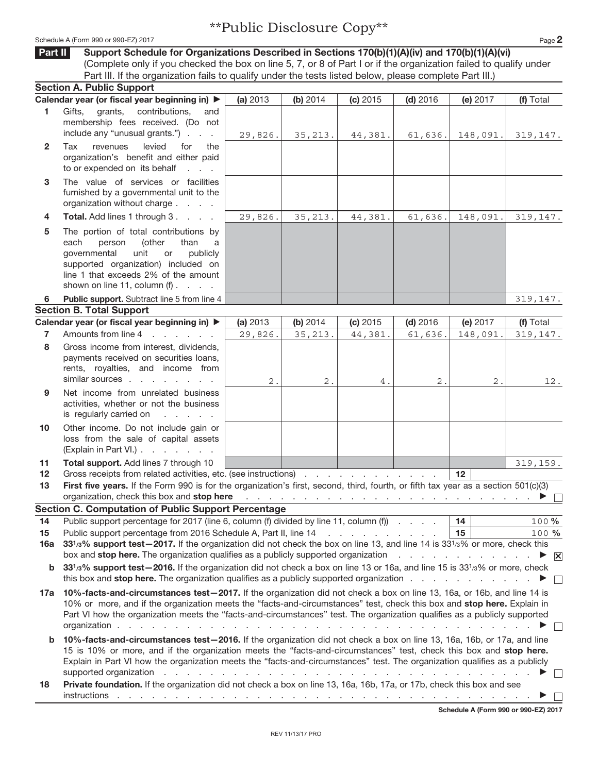### Schedule A (Form 990 or 990-EZ) 2017 Page 2 **Part II** Support Schedule for Organizations Described in Sections 170(b)(1)(A)(iv) and 170(b)(1)(A)(vi)

(Complete only if you checked the box on line 5, 7, or 8 of Part I or if the organization failed to qualify under Part III. If the organization fails to qualify under the tests listed below, please complete Part III.)

|                | <b>Section A. Public Support</b>                                                                                                                                                                                                                                                                                                                                                                    |                                  |                                   |                                                              |            |          |                                   |
|----------------|-----------------------------------------------------------------------------------------------------------------------------------------------------------------------------------------------------------------------------------------------------------------------------------------------------------------------------------------------------------------------------------------------------|----------------------------------|-----------------------------------|--------------------------------------------------------------|------------|----------|-----------------------------------|
|                | Calendar year (or fiscal year beginning in) ▶                                                                                                                                                                                                                                                                                                                                                       | (a) 2013                         | (b) $2014$                        | (c) 2015                                                     | $(d)$ 2016 | (e) 2017 | (f) Total                         |
| 1.             | Gifts,<br>grants, contributions,<br>and<br>membership fees received. (Do not<br>include any "unusual grants.")                                                                                                                                                                                                                                                                                      | 29,826.                          | 35, 213.                          | 44,381.                                                      | 61,636.    | 148,091. | 319,147.                          |
| $\mathbf{2}$   | revenues<br>levied<br>for<br>Tax<br>the<br>organization's benefit and either paid<br>to or expended on its behalf                                                                                                                                                                                                                                                                                   |                                  |                                   |                                                              |            |          |                                   |
| 3              | The value of services or facilities<br>furnished by a governmental unit to the<br>organization without charge                                                                                                                                                                                                                                                                                       |                                  |                                   |                                                              |            |          |                                   |
| 4              | <b>Total.</b> Add lines 1 through 3                                                                                                                                                                                                                                                                                                                                                                 | 29,826.                          | 35, 213.                          | 44,381.                                                      | 61,636.    | 148,091. | 319, 147.                         |
| 5              | The portion of total contributions by<br>(other<br>person<br>than<br>each<br>a<br>governmental<br>unit<br>publicly<br>or<br>supported organization) included on<br>line 1 that exceeds 2% of the amount<br>shown on line 11, column $(f)$ .                                                                                                                                                         |                                  |                                   |                                                              |            |          |                                   |
| 6              | Public support. Subtract line 5 from line 4                                                                                                                                                                                                                                                                                                                                                         |                                  |                                   |                                                              |            |          | 319,147.                          |
|                | <b>Section B. Total Support</b>                                                                                                                                                                                                                                                                                                                                                                     |                                  |                                   |                                                              |            |          |                                   |
|                | Calendar year (or fiscal year beginning in) ▶                                                                                                                                                                                                                                                                                                                                                       | (a) 2013                         | (b) $2014$                        | (c) 2015                                                     | $(d)$ 2016 | (e) 2017 | (f) Total                         |
| $\overline{7}$ | Amounts from line 4                                                                                                                                                                                                                                                                                                                                                                                 | 29,826.                          | 35, 213.                          | 44,381.                                                      | 61,636.    | 148,091. | 319,147.                          |
| 8              | Gross income from interest, dividends,<br>payments received on securities loans,<br>rents, royalties, and income from<br>similar sources                                                                                                                                                                                                                                                            | $2$ .                            | $\mathbf 2$ .                     | 4.                                                           | 2.         | $2$ .    | 12.                               |
| 9              | Net income from unrelated business<br>activities, whether or not the business<br>is regularly carried on<br>and a state of                                                                                                                                                                                                                                                                          |                                  |                                   |                                                              |            |          |                                   |
| 10             | Other income. Do not include gain or<br>loss from the sale of capital assets<br>(Explain in Part VI.)                                                                                                                                                                                                                                                                                               |                                  |                                   |                                                              |            |          |                                   |
| 11             | Total support. Add lines 7 through 10                                                                                                                                                                                                                                                                                                                                                               |                                  |                                   |                                                              |            |          | 319,159.                          |
| 12             | Gross receipts from related activities, etc. (see instructions)                                                                                                                                                                                                                                                                                                                                     |                                  |                                   |                                                              |            | 12       |                                   |
| 13             | First five years. If the Form 990 is for the organization's first, second, third, fourth, or fifth tax year as a section 501(c)(3)<br>organization, check this box and stop here<br>Section C. Computation of Public Support Percentage                                                                                                                                                             |                                  |                                   |                                                              |            |          |                                   |
| 14             | Public support percentage for 2017 (line 6, column (f) divided by line 11, column (f)                                                                                                                                                                                                                                                                                                               |                                  |                                   |                                                              |            | 14       | 100%                              |
| 15             | Public support percentage from 2016 Schedule A, Part II, line 14                                                                                                                                                                                                                                                                                                                                    |                                  |                                   | the contract of the contract of the                          |            | 15       | 100 %                             |
| 16a            | 33 <sup>1/3</sup> % support test-2017. If the organization did not check the box on line 13, and line 14 is $33^{1/3}$ % or more, check this<br>box and stop here. The organization qualifies as a publicly supported organization                                                                                                                                                                  |                                  |                                   |                                                              |            |          | $\blacktriangleright$ $\boxtimes$ |
| b              | 331/3% support test-2016. If the organization did not check a box on line 13 or 16a, and line 15 is 331/3% or more, check<br>this box and <b>stop here.</b> The organization qualifies as a publicly supported organization $\ldots$ , $\ldots$                                                                                                                                                     |                                  |                                   |                                                              |            |          |                                   |
| 17a            | 10%-facts-and-circumstances test-2017. If the organization did not check a box on line 13, 16a, or 16b, and line 14 is<br>10% or more, and if the organization meets the "facts-and-circumstances" test, check this box and stop here. Explain in<br>Part VI how the organization meets the "facts-and-circumstances" test. The organization qualifies as a publicly supported<br>organization.     |                                  | and the control of the            |                                                              |            |          |                                   |
| b              | 10%-facts-and-circumstances test-2016. If the organization did not check a box on line 13, 16a, 16b, or 17a, and line<br>15 is 10% or more, and if the organization meets the "facts-and-circumstances" test, check this box and stop here.<br>Explain in Part VI how the organization meets the "facts-and-circumstances" test. The organization qualifies as a publicly<br>supported organization | <b>Service</b><br><b>Service</b> | and the company of the company of |                                                              |            |          |                                   |
| 18             | Private foundation. If the organization did not check a box on line 13, 16a, 16b, 17a, or 17b, check this box and see<br>instructions<br>the contract of the con-                                                                                                                                                                                                                                   |                                  |                                   | the contract of the contract of the contract of the contract |            |          |                                   |
|                |                                                                                                                                                                                                                                                                                                                                                                                                     |                                  |                                   |                                                              |            |          |                                   |

**Schedule A (Form 990 or 990-EZ) 2017**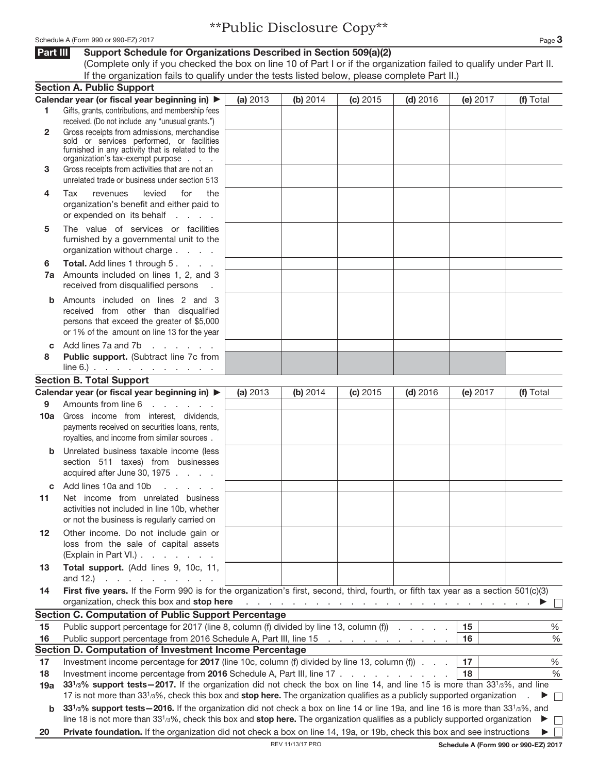### Schedule A (Form 990 or 990-EZ) 2017 Page 3

**Part III** Support Schedule for Organizations Described in Section 509(a)(2) (Complete only if you checked the box on line 10 of Part I or if the organization failed to qualify under Part II. If the organization fails to qualify under the tests listed below, please complete Part II.)

|     | <b>Section A. Public Support</b>                                                                                                       |          |            |          |                                                                                                                                                                                                                                |          |              |
|-----|----------------------------------------------------------------------------------------------------------------------------------------|----------|------------|----------|--------------------------------------------------------------------------------------------------------------------------------------------------------------------------------------------------------------------------------|----------|--------------|
|     | Calendar year (or fiscal year beginning in) ▶                                                                                          | (a) 2013 | (b) $2014$ | (c) 2015 | $(d)$ 2016                                                                                                                                                                                                                     | (e) 2017 | (f) Total    |
| 1.  | Gifts, grants, contributions, and membership fees                                                                                      |          |            |          |                                                                                                                                                                                                                                |          |              |
|     | received. (Do not include any "unusual grants.")                                                                                       |          |            |          |                                                                                                                                                                                                                                |          |              |
| 2   | Gross receipts from admissions, merchandise                                                                                            |          |            |          |                                                                                                                                                                                                                                |          |              |
|     | sold or services performed, or facilities<br>furnished in any activity that is related to the                                          |          |            |          |                                                                                                                                                                                                                                |          |              |
|     | organization's tax-exempt purpose                                                                                                      |          |            |          |                                                                                                                                                                                                                                |          |              |
| 3   | Gross receipts from activities that are not an                                                                                         |          |            |          |                                                                                                                                                                                                                                |          |              |
|     | unrelated trade or business under section 513                                                                                          |          |            |          |                                                                                                                                                                                                                                |          |              |
| 4   | Tax<br>levied<br>for<br>the<br>revenues                                                                                                |          |            |          |                                                                                                                                                                                                                                |          |              |
|     | organization's benefit and either paid to                                                                                              |          |            |          |                                                                                                                                                                                                                                |          |              |
|     | or expended on its behalf                                                                                                              |          |            |          |                                                                                                                                                                                                                                |          |              |
| 5   | The value of services or facilities                                                                                                    |          |            |          |                                                                                                                                                                                                                                |          |              |
|     | furnished by a governmental unit to the                                                                                                |          |            |          |                                                                                                                                                                                                                                |          |              |
|     | organization without charge                                                                                                            |          |            |          |                                                                                                                                                                                                                                |          |              |
| 6   | <b>Total.</b> Add lines 1 through 5.                                                                                                   |          |            |          |                                                                                                                                                                                                                                |          |              |
| 7a  | Amounts included on lines 1, 2, and 3                                                                                                  |          |            |          |                                                                                                                                                                                                                                |          |              |
|     | received from disqualified persons .                                                                                                   |          |            |          |                                                                                                                                                                                                                                |          |              |
|     |                                                                                                                                        |          |            |          |                                                                                                                                                                                                                                |          |              |
| b   | Amounts included on lines 2 and 3                                                                                                      |          |            |          |                                                                                                                                                                                                                                |          |              |
|     | received from other than disqualified<br>persons that exceed the greater of \$5,000                                                    |          |            |          |                                                                                                                                                                                                                                |          |              |
|     | or 1% of the amount on line 13 for the year                                                                                            |          |            |          |                                                                                                                                                                                                                                |          |              |
|     |                                                                                                                                        |          |            |          |                                                                                                                                                                                                                                |          |              |
| c   | and the contract of<br>Add lines 7a and 7b<br>Public support. (Subtract line 7c from                                                   |          |            |          |                                                                                                                                                                                                                                |          |              |
| 8   | $line 6.)$                                                                                                                             |          |            |          |                                                                                                                                                                                                                                |          |              |
|     | <b>Section B. Total Support</b>                                                                                                        |          |            |          |                                                                                                                                                                                                                                |          |              |
|     |                                                                                                                                        |          |            |          |                                                                                                                                                                                                                                |          |              |
|     | Calendar year (or fiscal year beginning in) ▶                                                                                          | (a) 2013 | (b) $2014$ | (c) 2015 | $(d)$ 2016                                                                                                                                                                                                                     | (e) 2017 | (f) Total    |
| 9   | Amounts from line 6<br>and the contract of the state of                                                                                |          |            |          |                                                                                                                                                                                                                                |          |              |
| 10a | Gross income from interest, dividends,                                                                                                 |          |            |          |                                                                                                                                                                                                                                |          |              |
|     | payments received on securities loans, rents,<br>royalties, and income from similar sources.                                           |          |            |          |                                                                                                                                                                                                                                |          |              |
|     |                                                                                                                                        |          |            |          |                                                                                                                                                                                                                                |          |              |
| b   | Unrelated business taxable income (less                                                                                                |          |            |          |                                                                                                                                                                                                                                |          |              |
|     | section 511 taxes) from businesses                                                                                                     |          |            |          |                                                                                                                                                                                                                                |          |              |
|     | acquired after June 30, 1975                                                                                                           |          |            |          |                                                                                                                                                                                                                                |          |              |
| c   | Add lines 10a and 10b<br>and a state of                                                                                                |          |            |          |                                                                                                                                                                                                                                |          |              |
| 11  | Net income from unrelated business                                                                                                     |          |            |          |                                                                                                                                                                                                                                |          |              |
|     | activities not included in line 10b, whether                                                                                           |          |            |          |                                                                                                                                                                                                                                |          |              |
|     | or not the business is regularly carried on                                                                                            |          |            |          |                                                                                                                                                                                                                                |          |              |
| 12  | Other income. Do not include gain or                                                                                                   |          |            |          |                                                                                                                                                                                                                                |          |              |
|     | loss from the sale of capital assets                                                                                                   |          |            |          |                                                                                                                                                                                                                                |          |              |
|     | (Explain in Part VI.)                                                                                                                  |          |            |          |                                                                                                                                                                                                                                |          |              |
| 13  | Total support. (Add lines 9, 10c, 11,                                                                                                  |          |            |          |                                                                                                                                                                                                                                |          |              |
|     | and 12.) $\therefore$ $\therefore$ $\therefore$ $\therefore$ $\therefore$ $\therefore$                                                 |          |            |          |                                                                                                                                                                                                                                |          |              |
| 14  | First five years. If the Form 990 is for the organization's first, second, third, fourth, or fifth tax year as a section 501(c)(3)     |          |            |          |                                                                                                                                                                                                                                |          |              |
|     | organization, check this box and stop here                                                                                             |          |            |          | and the contract of the contract of the contract of the contract of the contract of the contract of the contract of the contract of the contract of the contract of the contract of the contract of the contract of the contra |          |              |
|     | <b>Section C. Computation of Public Support Percentage</b>                                                                             |          |            |          |                                                                                                                                                                                                                                |          |              |
| 15  | Public support percentage for 2017 (line 8, column (f) divided by line 13, column (f)                                                  |          |            |          |                                                                                                                                                                                                                                | 15       | %            |
| 16  | Public support percentage from 2016 Schedule A, Part III, line 15                                                                      |          |            |          |                                                                                                                                                                                                                                | 16       | %            |
|     | <b>Section D. Computation of Investment Income Percentage</b>                                                                          |          |            |          |                                                                                                                                                                                                                                |          |              |
| 17  | Investment income percentage for 2017 (line 10c, column (f) divided by line 13, column (f)                                             |          |            |          |                                                                                                                                                                                                                                | 17       | %            |
| 18  | Investment income percentage from 2016 Schedule A, Part III, line 17                                                                   |          |            |          |                                                                                                                                                                                                                                | 18       | %            |
| 19a | 331/3% support tests - 2017. If the organization did not check the box on line 14, and line 15 is more than 331/3%, and line           |          |            |          |                                                                                                                                                                                                                                |          |              |
|     | 17 is not more than 33 <sup>1</sup> /3%, check this box and stop here. The organization qualifies as a publicly supported organization |          |            |          |                                                                                                                                                                                                                                |          | $\Box$       |
| b   | 331/3% support tests - 2016. If the organization did not check a box on line 14 or line 19a, and line 16 is more than 331/3%, and      |          |            |          |                                                                                                                                                                                                                                |          |              |
|     | line 18 is not more than $3313%$ , check this box and stop here. The organization qualifies as a publicly supported organization       |          |            |          |                                                                                                                                                                                                                                |          | ▶<br>$\Box$  |
| 20  | Private foundation. If the organization did not check a box on line 14, 19a, or 19b, check this box and see instructions               |          |            |          |                                                                                                                                                                                                                                |          | ▶<br>$\perp$ |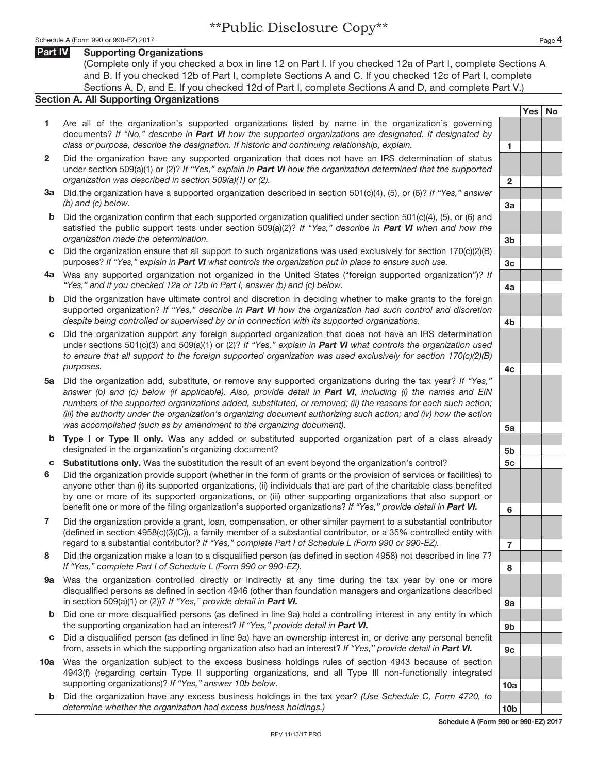#### **Part IV Supporting Organizations**

(Complete only if you checked a box in line 12 on Part I. If you checked 12a of Part I, complete Sections A and B. If you checked 12b of Part I, complete Sections A and C. If you checked 12c of Part I, complete Sections A, D, and E. If you checked 12d of Part I, complete Sections A and D, and complete Part V.)

#### **Section A. All Supporting Organizations**

- **1** Are all of the organization's supported organizations listed by name in the organization's governing documents? If "No," describe in *Part VI* how the supported organizations are designated. If designated by class or purpose, describe the designation. If historic and continuing relationship, explain. **1**
- **2** Did the organization have any supported organization that does not have an IRS determination of status under section 509(a)(1) or (2)? If "Yes," explain in *Part VI* how the organization determined that the supported organization was described in section 509(a)(1) or (2). **2**
- **3a** Did the organization have a supported organization described in section 501(c)(4), (5), or (6)? If "Yes," answer (b) and (c) below. **3a**
- **b** Did the organization confirm that each supported organization qualified under section 501(c)(4), (5), or (6) and satisfied the public support tests under section 509(a)(2)? If "Yes," describe in **Part VI** when and how the organization made the determination. **3b**
- **c** Did the organization ensure that all support to such organizations was used exclusively for section 170(c)(2)(B) purposes? If "Yes," explain in *Part VI* what controls the organization put in place to ensure such use. **3c**
- **4a** Was any supported organization not organized in the United States ("foreign supported organization")? If "Yes," and if you checked 12a or 12b in Part I, answer (b) and (c) below. **4a**
- **b** Did the organization have ultimate control and discretion in deciding whether to make grants to the foreign supported organization? If "Yes," describe in *Part VI* how the organization had such control and discretion despite being controlled or supervised by or in connection with its supported organizations. **4b**
- **c** Did the organization support any foreign supported organization that does not have an IRS determination under sections 501(c)(3) and 509(a)(1) or (2)? If "Yes," explain in *Part VI* what controls the organization used to ensure that all support to the foreign supported organization was used exclusively for section 170(c)(2)(B) purposes. **4c**
- **5a** Did the organization add, substitute, or remove any supported organizations during the tax year? If "Yes," answer (b) and (c) below (if applicable). Also, provide detail in *Part VI*, including (i) the names and EIN numbers of the supported organizations added, substituted, or removed; (ii) the reasons for each such action; (iii) the authority under the organization's organizing document authorizing such action; and (iv) how the action was accomplished (such as by amendment to the organizing document). **5a**
- **b Type I or Type II only.** Was any added or substituted supported organization part of a class already designated in the organization's organizing document? **5b**
- **c Substitutions only.** Was the substitution the result of an event beyond the organization's control? **5c**
- **6** Did the organization provide support (whether in the form of grants or the provision of services or facilities) to anyone other than (i) its supported organizations, (ii) individuals that are part of the charitable class benefited by one or more of its supported organizations, or (iii) other supporting organizations that also support or benefit one or more of the filing organization's supported organizations? If "Yes," provide detail in *Part VI.* **6**
- **7** Did the organization provide a grant, loan, compensation, or other similar payment to a substantial contributor (defined in section 4958(c)(3)(C)), a family member of a substantial contributor, or a 35% controlled entity with regard to a substantial contributor? If "Yes," complete Part I of Schedule L (Form 990 or 990-EZ). **7**
- **8** Did the organization make a loan to a disqualified person (as defined in section 4958) not described in line 7? If "Yes," complete Part I of Schedule L (Form 990 or 990-EZ). **8**
- **9a** Was the organization controlled directly or indirectly at any time during the tax year by one or more disqualified persons as defined in section 4946 (other than foundation managers and organizations described in section 509(a)(1) or (2))? If "Yes," provide detail in *Part VI.* **9a**
- **b** Did one or more disqualified persons (as defined in line 9a) hold a controlling interest in any entity in which the supporting organization had an interest? If "Yes," provide detail in *Part VI.* **9b**
- **c** Did a disqualified person (as defined in line 9a) have an ownership interest in, or derive any personal benefit from, assets in which the supporting organization also had an interest? If "Yes," provide detail in *Part VI.* **9c**
- **10a** Was the organization subject to the excess business holdings rules of section 4943 because of section 4943(f) (regarding certain Type II supporting organizations, and all Type III non-functionally integrated supporting organizations)? If "Yes," answer 10b below. **10a 10a 10a 10a 10a** 
	- **b** Did the organization have any excess business holdings in the tax year? (Use Schedule C, Form 4720, to determine whether the organization had excess business holdings.) **10b**

**Yes No**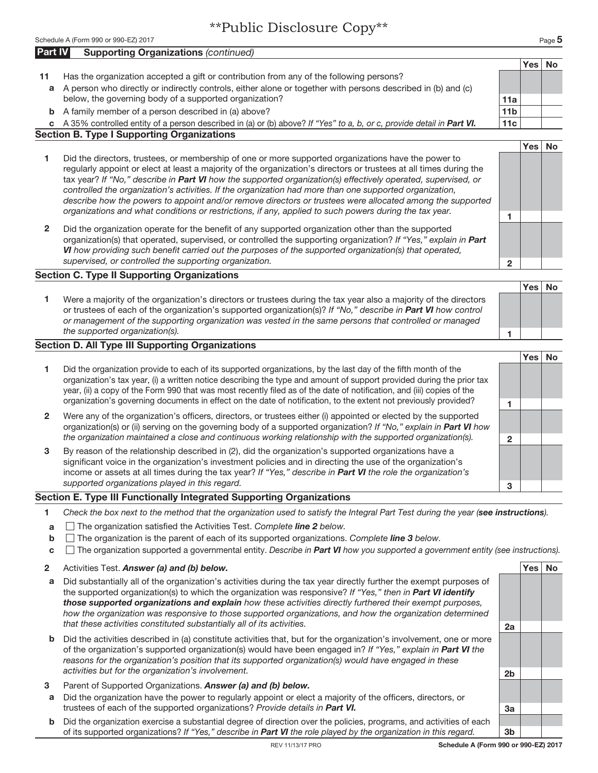|              | **Public Disclosure Copy**                                                                                                                                                                                                                                                                                                                                                                                                                                                                                                                                                                                                                                                   |                 |                  |           |
|--------------|------------------------------------------------------------------------------------------------------------------------------------------------------------------------------------------------------------------------------------------------------------------------------------------------------------------------------------------------------------------------------------------------------------------------------------------------------------------------------------------------------------------------------------------------------------------------------------------------------------------------------------------------------------------------------|-----------------|------------------|-----------|
|              | Schedule A (Form 990 or 990-EZ) 2017                                                                                                                                                                                                                                                                                                                                                                                                                                                                                                                                                                                                                                         |                 |                  | Page 5    |
| Part IV      | <b>Supporting Organizations (continued)</b>                                                                                                                                                                                                                                                                                                                                                                                                                                                                                                                                                                                                                                  |                 |                  |           |
|              |                                                                                                                                                                                                                                                                                                                                                                                                                                                                                                                                                                                                                                                                              |                 | Yes              | <b>No</b> |
| 11           | Has the organization accepted a gift or contribution from any of the following persons?                                                                                                                                                                                                                                                                                                                                                                                                                                                                                                                                                                                      |                 |                  |           |
|              | a A person who directly or indirectly controls, either alone or together with persons described in (b) and (c)                                                                                                                                                                                                                                                                                                                                                                                                                                                                                                                                                               |                 |                  |           |
|              | below, the governing body of a supported organization?                                                                                                                                                                                                                                                                                                                                                                                                                                                                                                                                                                                                                       | 11a             |                  |           |
|              | <b>b</b> A family member of a person described in (a) above?                                                                                                                                                                                                                                                                                                                                                                                                                                                                                                                                                                                                                 | 11 <sub>b</sub> |                  |           |
|              | c A 35% controlled entity of a person described in (a) or (b) above? If "Yes" to a, b, or c, provide detail in Part VI.                                                                                                                                                                                                                                                                                                                                                                                                                                                                                                                                                      | 11c             |                  |           |
|              | <b>Section B. Type I Supporting Organizations</b>                                                                                                                                                                                                                                                                                                                                                                                                                                                                                                                                                                                                                            |                 |                  |           |
|              |                                                                                                                                                                                                                                                                                                                                                                                                                                                                                                                                                                                                                                                                              |                 | <b>Yes</b>       | <b>No</b> |
| 1            | Did the directors, trustees, or membership of one or more supported organizations have the power to<br>regularly appoint or elect at least a majority of the organization's directors or trustees at all times during the<br>tax year? If "No," describe in Part VI how the supported organization(s) effectively operated, supervised, or<br>controlled the organization's activities. If the organization had more than one supported organization,<br>describe how the powers to appoint and/or remove directors or trustees were allocated among the supported<br>organizations and what conditions or restrictions, if any, applied to such powers during the tax year. | 1               |                  |           |
| $\mathbf{2}$ | Did the organization operate for the benefit of any supported organization other than the supported<br>organization(s) that operated, supervised, or controlled the supporting organization? If "Yes," explain in Part<br>VI how providing such benefit carried out the purposes of the supported organization(s) that operated,<br>supervised, or controlled the supporting organization.                                                                                                                                                                                                                                                                                   | $\overline{2}$  |                  |           |
|              | <b>Section C. Type II Supporting Organizations</b>                                                                                                                                                                                                                                                                                                                                                                                                                                                                                                                                                                                                                           |                 |                  |           |
|              |                                                                                                                                                                                                                                                                                                                                                                                                                                                                                                                                                                                                                                                                              |                 | <b>Yes</b>       | No        |
| 1            | Were a majority of the organization's directors or trustees during the tax year also a majority of the directors<br>or trustees of each of the organization's supported organization(s)? If "No," describe in Part VI how control<br>or management of the supporting organization was vested in the same persons that controlled or managed<br>the supported organization(s).                                                                                                                                                                                                                                                                                                | 1               |                  |           |
|              | <b>Section D. All Type III Supporting Organizations</b>                                                                                                                                                                                                                                                                                                                                                                                                                                                                                                                                                                                                                      |                 |                  |           |
|              |                                                                                                                                                                                                                                                                                                                                                                                                                                                                                                                                                                                                                                                                              |                 | Yes <sup> </sup> | No        |
| 1            | Did the organization provide to each of its supported organizations, by the last day of the fifth month of the<br>organization's tax year, (i) a written notice describing the type and amount of support provided during the prior tax<br>year, (ii) a copy of the Form 990 that was most recently filed as of the date of notification, and (iii) copies of the<br>organization's governing documents in effect on the date of notification, to the extent not previously provided?                                                                                                                                                                                        | 1               |                  |           |
| $\mathbf{2}$ | Were any of the organization's officers, directors, or trustees either (i) appointed or elected by the supported<br>organization(s) or (ii) serving on the governing body of a supported organization? If "No," explain in Part VI how<br>the organization maintained a close and continuous working relationship with the supported organization(s).                                                                                                                                                                                                                                                                                                                        | $\overline{2}$  |                  |           |

**3** By reason of the relationship described in (2), did the organization's supported organizations have a significant voice in the organization's investment policies and in directing the use of the organization's income or assets at all times during the tax year? If "Yes," describe in *Part VI* the role the organization's supported organizations played in this regard. **3 3** 

### **Section E. Type III Functionally Integrated Supporting Organizations**

- **1** Check the box next to the method that the organization used to satisfy the Integral Part Test during the year (*see instructions*).
- **a** The organization satisfied the Activities Test. Complete *line 2* below.
- **b** The organization is the parent of each of its supported organizations. Complete **line 3** below.
- **c** The organization supported a governmental entity. Describe in *Part VI* how you supported a government entity (see instructions).
- **2** Activities Test. *Answer (a) and (b) below.* **Yes No**
- **a** Did substantially all of the organization's activities during the tax year directly further the exempt purposes of the supported organization(s) to which the organization was responsive? If "Yes," then in *Part VI identify those supported organizations and explain* how these activities directly furthered their exempt purposes, how the organization was responsive to those supported organizations, and how the organization determined that these activities constituted substantially all of its activities. **2a**
- **b** Did the activities described in (a) constitute activities that, but for the organization's involvement, one or more of the organization's supported organization(s) would have been engaged in? If "Yes," explain in *Part VI* the reasons for the organization's position that its supported organization(s) would have engaged in these activities but for the organization's involvement. **2b**
- **3** Parent of Supported Organizations. *Answer (a) and (b) below.*
- **a** Did the organization have the power to regularly appoint or elect a majority of the officers, directors, or trustees of each of the supported organizations? Provide details in *Part VI.* **3a**
- **b** Did the organization exercise a substantial degree of direction over the policies, programs, and activities of each of its supported organizations? If "Yes," describe in *Part VI* the role played by the organization in this regard. **3b**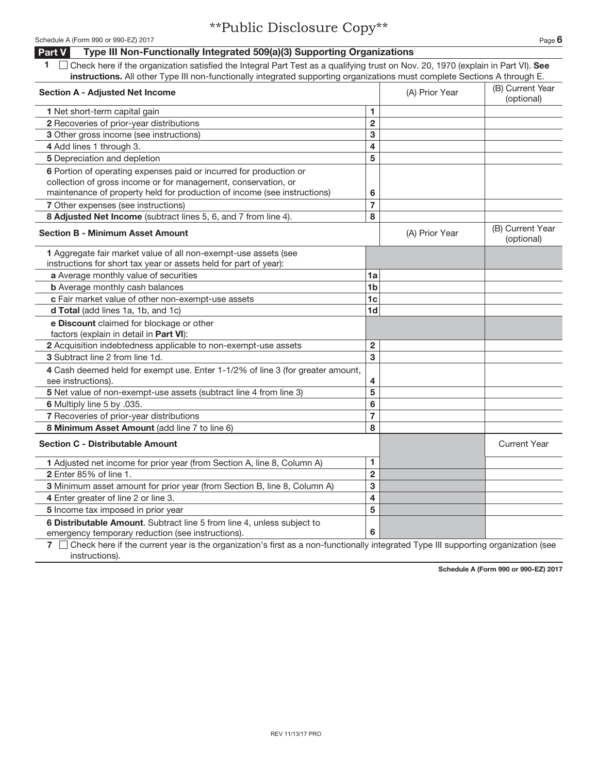Schedule A (Form 990 or 990-EZ) 2017 **Page 6 Page 12** 

#### **Part V Type III Non-Functionally Integrated 509(a)(3) Supporting Organizations**

**1** Check here if the organization satisfied the Integral Part Test as a qualifying trust on Nov. 20, 1970 (explain in Part VI). **See instructions.** All other Type III non-functionally integrated supporting organizations must complete Sections A through E.

| <b>Section A - Adjusted Net Income</b>                                                                                               |                         | (A) Prior Year | (B) Current Year<br>(optional) |
|--------------------------------------------------------------------------------------------------------------------------------------|-------------------------|----------------|--------------------------------|
| 1 Net short-term capital gain                                                                                                        | 1                       |                |                                |
| 2 Recoveries of prior-year distributions                                                                                             | $\overline{2}$          |                |                                |
| 3 Other gross income (see instructions)                                                                                              | 3                       |                |                                |
| 4 Add lines 1 through 3.                                                                                                             | 4                       |                |                                |
| 5 Depreciation and depletion                                                                                                         | 5                       |                |                                |
| 6 Portion of operating expenses paid or incurred for production or<br>collection of gross income or for management, conservation, or |                         |                |                                |
| maintenance of property held for production of income (see instructions)                                                             | 6                       |                |                                |
| 7 Other expenses (see instructions)                                                                                                  | $\overline{7}$          |                |                                |
| 8 Adjusted Net Income (subtract lines 5, 6, and 7 from line 4).                                                                      | 8                       |                |                                |
| <b>Section B - Minimum Asset Amount</b>                                                                                              |                         | (A) Prior Year | (B) Current Year<br>(optional) |
| 1 Aggregate fair market value of all non-exempt-use assets (see<br>instructions for short tax year or assets held for part of year): |                         |                |                                |
| a Average monthly value of securities                                                                                                | 1a                      |                |                                |
| <b>b</b> Average monthly cash balances                                                                                               | 1 <sub>b</sub>          |                |                                |
| c Fair market value of other non-exempt-use assets                                                                                   | 1 <sub>c</sub>          |                |                                |
| d Total (add lines 1a, 1b, and 1c)                                                                                                   | 1 <sub>d</sub>          |                |                                |
| e Discount claimed for blockage or other<br>factors (explain in detail in Part VI):                                                  |                         |                |                                |
| 2 Acquisition indebtedness applicable to non-exempt-use assets                                                                       | $\overline{2}$          |                |                                |
| 3 Subtract line 2 from line 1d.                                                                                                      | 3                       |                |                                |
| 4 Cash deemed held for exempt use. Enter 1-1/2% of line 3 (for greater amount,<br>see instructions).                                 | 4                       |                |                                |
| 5 Net value of non-exempt-use assets (subtract line 4 from line 3)                                                                   | 5                       |                |                                |
| 6 Multiply line 5 by .035.                                                                                                           | 6                       |                |                                |
| 7 Recoveries of prior-year distributions                                                                                             | $\overline{7}$          |                |                                |
| 8 Minimum Asset Amount (add line 7 to line 6)                                                                                        | 8                       |                |                                |
| <b>Section C - Distributable Amount</b>                                                                                              |                         |                | <b>Current Year</b>            |
| 1 Adjusted net income for prior year (from Section A, line 8, Column A)                                                              | $\mathbf{1}$            |                |                                |
| 2 Enter 85% of line 1.                                                                                                               | $\overline{2}$          |                |                                |
| 3 Minimum asset amount for prior year (from Section B, line 8, Column A)                                                             | 3                       |                |                                |
| 4 Enter greater of line 2 or line 3.                                                                                                 | $\overline{\mathbf{4}}$ |                |                                |
| 5 Income tax imposed in prior year                                                                                                   | 5                       |                |                                |
| 6 Distributable Amount. Subtract line 5 from line 4, unless subject to<br>emergency temporary reduction (see instructions).          | 6                       |                |                                |

**7** Check here if the current year is the organization's first as a non-functionally integrated Type III supporting organization (see instructions).

**Schedule A (Form 990 or 990-EZ) 2017**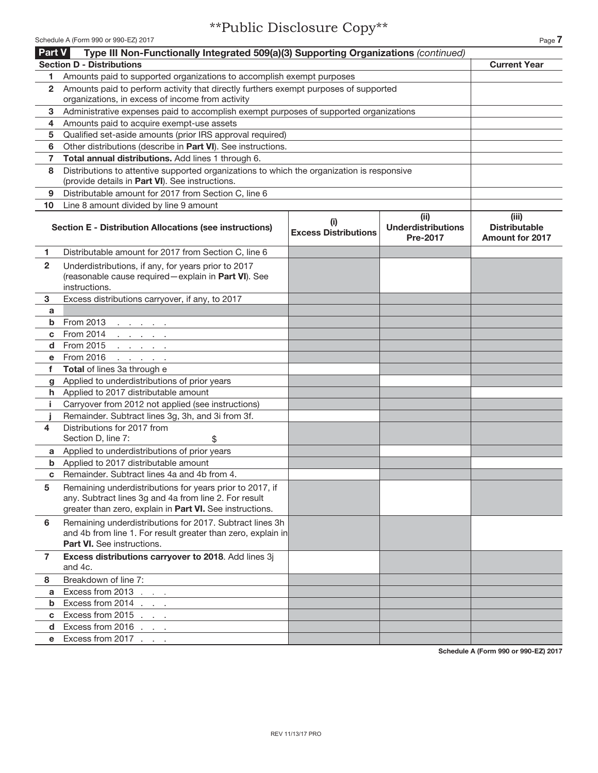Schedule A (Form 990 or 990-EZ) 2017 Page **7** 

| <b>Part V</b>  | Type III Non-Functionally Integrated 509(a)(3) Supporting Organizations (continued)                                                                                           |                                    |                                                      |                                                         |
|----------------|-------------------------------------------------------------------------------------------------------------------------------------------------------------------------------|------------------------------------|------------------------------------------------------|---------------------------------------------------------|
|                | <b>Section D - Distributions</b>                                                                                                                                              |                                    |                                                      | <b>Current Year</b>                                     |
| 1              | Amounts paid to supported organizations to accomplish exempt purposes                                                                                                         |                                    |                                                      |                                                         |
| $\mathbf{2}$   | Amounts paid to perform activity that directly furthers exempt purposes of supported                                                                                          |                                    |                                                      |                                                         |
|                | organizations, in excess of income from activity                                                                                                                              |                                    |                                                      |                                                         |
| 3              | Administrative expenses paid to accomplish exempt purposes of supported organizations                                                                                         |                                    |                                                      |                                                         |
| 4              | Amounts paid to acquire exempt-use assets                                                                                                                                     |                                    |                                                      |                                                         |
| 5              | Qualified set-aside amounts (prior IRS approval required)                                                                                                                     |                                    |                                                      |                                                         |
| 6              | Other distributions (describe in Part VI). See instructions.                                                                                                                  |                                    |                                                      |                                                         |
| 7              | Total annual distributions. Add lines 1 through 6.                                                                                                                            |                                    |                                                      |                                                         |
| 8              | Distributions to attentive supported organizations to which the organization is responsive                                                                                    |                                    |                                                      |                                                         |
|                | (provide details in Part VI). See instructions.                                                                                                                               |                                    |                                                      |                                                         |
| 9              | Distributable amount for 2017 from Section C, line 6                                                                                                                          |                                    |                                                      |                                                         |
| 10             | Line 8 amount divided by line 9 amount                                                                                                                                        |                                    |                                                      |                                                         |
|                | <b>Section E - Distribution Allocations (see instructions)</b>                                                                                                                | (i)<br><b>Excess Distributions</b> | (ii)<br><b>Underdistributions</b><br><b>Pre-2017</b> | (iii)<br><b>Distributable</b><br><b>Amount for 2017</b> |
| 1              | Distributable amount for 2017 from Section C, line 6                                                                                                                          |                                    |                                                      |                                                         |
| $\mathbf{2}$   | Underdistributions, if any, for years prior to 2017<br>(reasonable cause required - explain in Part VI). See<br>instructions.                                                 |                                    |                                                      |                                                         |
| 3              | Excess distributions carryover, if any, to 2017                                                                                                                               |                                    |                                                      |                                                         |
| a              |                                                                                                                                                                               |                                    |                                                      |                                                         |
| b              | From 2013<br>the control of the con-                                                                                                                                          |                                    |                                                      |                                                         |
| c              | From 2014<br>and a state of the state                                                                                                                                         |                                    |                                                      |                                                         |
| d              | From 2015<br>the contract of the con-                                                                                                                                         |                                    |                                                      |                                                         |
| е              | From 2016<br>and a strategic and                                                                                                                                              |                                    |                                                      |                                                         |
| f              | Total of lines 3a through e                                                                                                                                                   |                                    |                                                      |                                                         |
| g              | Applied to underdistributions of prior years                                                                                                                                  |                                    |                                                      |                                                         |
| h.             | Applied to 2017 distributable amount                                                                                                                                          |                                    |                                                      |                                                         |
| i.             | Carryover from 2012 not applied (see instructions)                                                                                                                            |                                    |                                                      |                                                         |
|                | Remainder. Subtract lines 3g, 3h, and 3i from 3f.                                                                                                                             |                                    |                                                      |                                                         |
| 4              | Distributions for 2017 from                                                                                                                                                   |                                    |                                                      |                                                         |
|                | Section D, line 7:<br>\$                                                                                                                                                      |                                    |                                                      |                                                         |
| a              | Applied to underdistributions of prior years                                                                                                                                  |                                    |                                                      |                                                         |
| b              | Applied to 2017 distributable amount                                                                                                                                          |                                    |                                                      |                                                         |
| С              | Remainder. Subtract lines 4a and 4b from 4.                                                                                                                                   |                                    |                                                      |                                                         |
| 5              | Remaining underdistributions for years prior to 2017, if<br>any. Subtract lines 3g and 4a from line 2. For result<br>greater than zero, explain in Part VI. See instructions. |                                    |                                                      |                                                         |
| 6              | Remaining underdistributions for 2017. Subtract lines 3h<br>and 4b from line 1. For result greater than zero, explain in<br>Part VI. See instructions.                        |                                    |                                                      |                                                         |
| $\overline{7}$ | Excess distributions carryover to 2018. Add lines 3j<br>and 4c.                                                                                                               |                                    |                                                      |                                                         |
| 8              | Breakdown of line 7:                                                                                                                                                          |                                    |                                                      |                                                         |
| a              | Excess from 2013<br><b>Contract Contract</b>                                                                                                                                  |                                    |                                                      |                                                         |
| b              | Excess from 2014                                                                                                                                                              |                                    |                                                      |                                                         |
| C              | Excess from 2015                                                                                                                                                              |                                    |                                                      |                                                         |
| d              | Excess from 2016                                                                                                                                                              |                                    |                                                      |                                                         |
| e              | Excess from 2017                                                                                                                                                              |                                    |                                                      |                                                         |

**Schedule A (Form 990 or 990-EZ) 2017**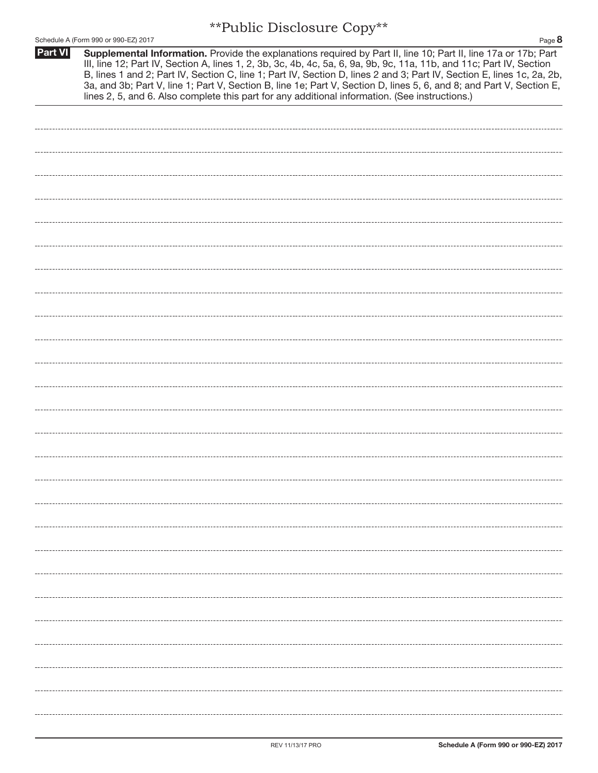| Schedule A (Form 990 or 990-EZ) 2017<br>Page $8$ |                                                                                                                                                                                                                                                                                                                                                                                                                                                                                                                                                                                             |  |  |  |
|--------------------------------------------------|---------------------------------------------------------------------------------------------------------------------------------------------------------------------------------------------------------------------------------------------------------------------------------------------------------------------------------------------------------------------------------------------------------------------------------------------------------------------------------------------------------------------------------------------------------------------------------------------|--|--|--|
| <b>Part VI</b>                                   | Supplemental Information. Provide the explanations required by Part II, line 10; Part II, line 17a or 17b; Part<br>III, line 12; Part IV, Section A, lines 1, 2, 3b, 3c, 4b, 4c, 5a, 6, 9a, 9b, 9c, 11a, 11b, and 11c; Part IV, Section<br>B, lines 1 and 2; Part IV, Section C, line 1; Part IV, Section D, lines 2 and 3; Part IV, Section E, lines 1c, 2a, 2b,<br>3a, and 3b; Part V, line 1; Part V, Section B, line 1e; Part V, Section D, lines 5, 6, and 8; and Part V, Section E,<br>lines 2, 5, and 6. Also complete this part for any additional information. (See instructions.) |  |  |  |
|                                                  |                                                                                                                                                                                                                                                                                                                                                                                                                                                                                                                                                                                             |  |  |  |
|                                                  |                                                                                                                                                                                                                                                                                                                                                                                                                                                                                                                                                                                             |  |  |  |
|                                                  |                                                                                                                                                                                                                                                                                                                                                                                                                                                                                                                                                                                             |  |  |  |
|                                                  |                                                                                                                                                                                                                                                                                                                                                                                                                                                                                                                                                                                             |  |  |  |
|                                                  |                                                                                                                                                                                                                                                                                                                                                                                                                                                                                                                                                                                             |  |  |  |
|                                                  |                                                                                                                                                                                                                                                                                                                                                                                                                                                                                                                                                                                             |  |  |  |
|                                                  |                                                                                                                                                                                                                                                                                                                                                                                                                                                                                                                                                                                             |  |  |  |
|                                                  |                                                                                                                                                                                                                                                                                                                                                                                                                                                                                                                                                                                             |  |  |  |
|                                                  |                                                                                                                                                                                                                                                                                                                                                                                                                                                                                                                                                                                             |  |  |  |
|                                                  |                                                                                                                                                                                                                                                                                                                                                                                                                                                                                                                                                                                             |  |  |  |
|                                                  |                                                                                                                                                                                                                                                                                                                                                                                                                                                                                                                                                                                             |  |  |  |
|                                                  |                                                                                                                                                                                                                                                                                                                                                                                                                                                                                                                                                                                             |  |  |  |
|                                                  |                                                                                                                                                                                                                                                                                                                                                                                                                                                                                                                                                                                             |  |  |  |
|                                                  |                                                                                                                                                                                                                                                                                                                                                                                                                                                                                                                                                                                             |  |  |  |
|                                                  |                                                                                                                                                                                                                                                                                                                                                                                                                                                                                                                                                                                             |  |  |  |
|                                                  |                                                                                                                                                                                                                                                                                                                                                                                                                                                                                                                                                                                             |  |  |  |
|                                                  |                                                                                                                                                                                                                                                                                                                                                                                                                                                                                                                                                                                             |  |  |  |
|                                                  |                                                                                                                                                                                                                                                                                                                                                                                                                                                                                                                                                                                             |  |  |  |
|                                                  |                                                                                                                                                                                                                                                                                                                                                                                                                                                                                                                                                                                             |  |  |  |
|                                                  |                                                                                                                                                                                                                                                                                                                                                                                                                                                                                                                                                                                             |  |  |  |
|                                                  |                                                                                                                                                                                                                                                                                                                                                                                                                                                                                                                                                                                             |  |  |  |
|                                                  |                                                                                                                                                                                                                                                                                                                                                                                                                                                                                                                                                                                             |  |  |  |
|                                                  |                                                                                                                                                                                                                                                                                                                                                                                                                                                                                                                                                                                             |  |  |  |
|                                                  |                                                                                                                                                                                                                                                                                                                                                                                                                                                                                                                                                                                             |  |  |  |
|                                                  |                                                                                                                                                                                                                                                                                                                                                                                                                                                                                                                                                                                             |  |  |  |
|                                                  |                                                                                                                                                                                                                                                                                                                                                                                                                                                                                                                                                                                             |  |  |  |
|                                                  |                                                                                                                                                                                                                                                                                                                                                                                                                                                                                                                                                                                             |  |  |  |
|                                                  |                                                                                                                                                                                                                                                                                                                                                                                                                                                                                                                                                                                             |  |  |  |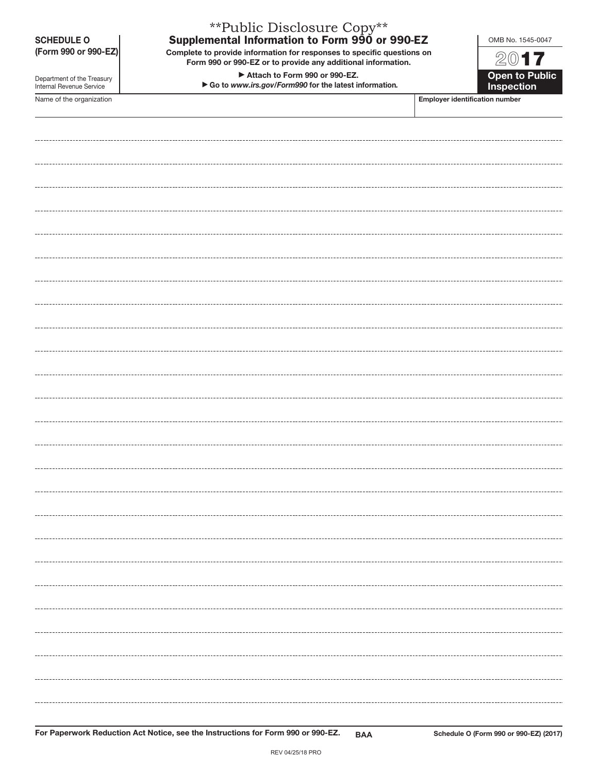| <b>SCHEDULE O</b>                                      | **Public Disclosure Copy**<br>Supplemental Information to Form 990 or 990-EZ | OMB No. 1545-0047                     |
|--------------------------------------------------------|------------------------------------------------------------------------------|---------------------------------------|
| (Form 990 or 990-EZ)                                   | Complete to provide information for responses to specific questions on       |                                       |
|                                                        | Form 990 or 990-EZ or to provide any additional information.                 | 2017                                  |
|                                                        | Attach to Form 990 or 990-EZ.                                                | <b>Open to Public</b>                 |
| Department of the Treasury<br>Internal Revenue Service | Go to www.irs.gov/Form990 for the latest information.                        | Inspection                            |
| Name of the organization                               |                                                                              | <b>Employer identification number</b> |
|                                                        |                                                                              |                                       |
|                                                        |                                                                              |                                       |
|                                                        |                                                                              |                                       |
|                                                        |                                                                              |                                       |
|                                                        |                                                                              |                                       |
|                                                        |                                                                              |                                       |
|                                                        |                                                                              |                                       |
|                                                        |                                                                              |                                       |
|                                                        |                                                                              |                                       |
|                                                        |                                                                              |                                       |
|                                                        |                                                                              |                                       |
|                                                        |                                                                              |                                       |
|                                                        |                                                                              |                                       |
|                                                        |                                                                              |                                       |
|                                                        |                                                                              |                                       |
|                                                        |                                                                              |                                       |
|                                                        |                                                                              |                                       |
|                                                        |                                                                              |                                       |
|                                                        |                                                                              |                                       |
|                                                        |                                                                              |                                       |
|                                                        |                                                                              |                                       |
|                                                        |                                                                              |                                       |
|                                                        |                                                                              |                                       |
|                                                        |                                                                              |                                       |
|                                                        |                                                                              |                                       |
|                                                        |                                                                              |                                       |
|                                                        |                                                                              |                                       |
|                                                        |                                                                              |                                       |
|                                                        |                                                                              |                                       |
|                                                        |                                                                              |                                       |
|                                                        |                                                                              |                                       |
|                                                        |                                                                              |                                       |
|                                                        |                                                                              |                                       |
|                                                        |                                                                              |                                       |
|                                                        |                                                                              |                                       |
|                                                        |                                                                              |                                       |
|                                                        |                                                                              |                                       |
|                                                        |                                                                              |                                       |
|                                                        |                                                                              |                                       |
|                                                        |                                                                              |                                       |
|                                                        |                                                                              |                                       |
|                                                        |                                                                              |                                       |
|                                                        |                                                                              |                                       |
|                                                        |                                                                              |                                       |
|                                                        |                                                                              |                                       |
|                                                        |                                                                              |                                       |
|                                                        |                                                                              |                                       |
|                                                        |                                                                              |                                       |
|                                                        |                                                                              |                                       |